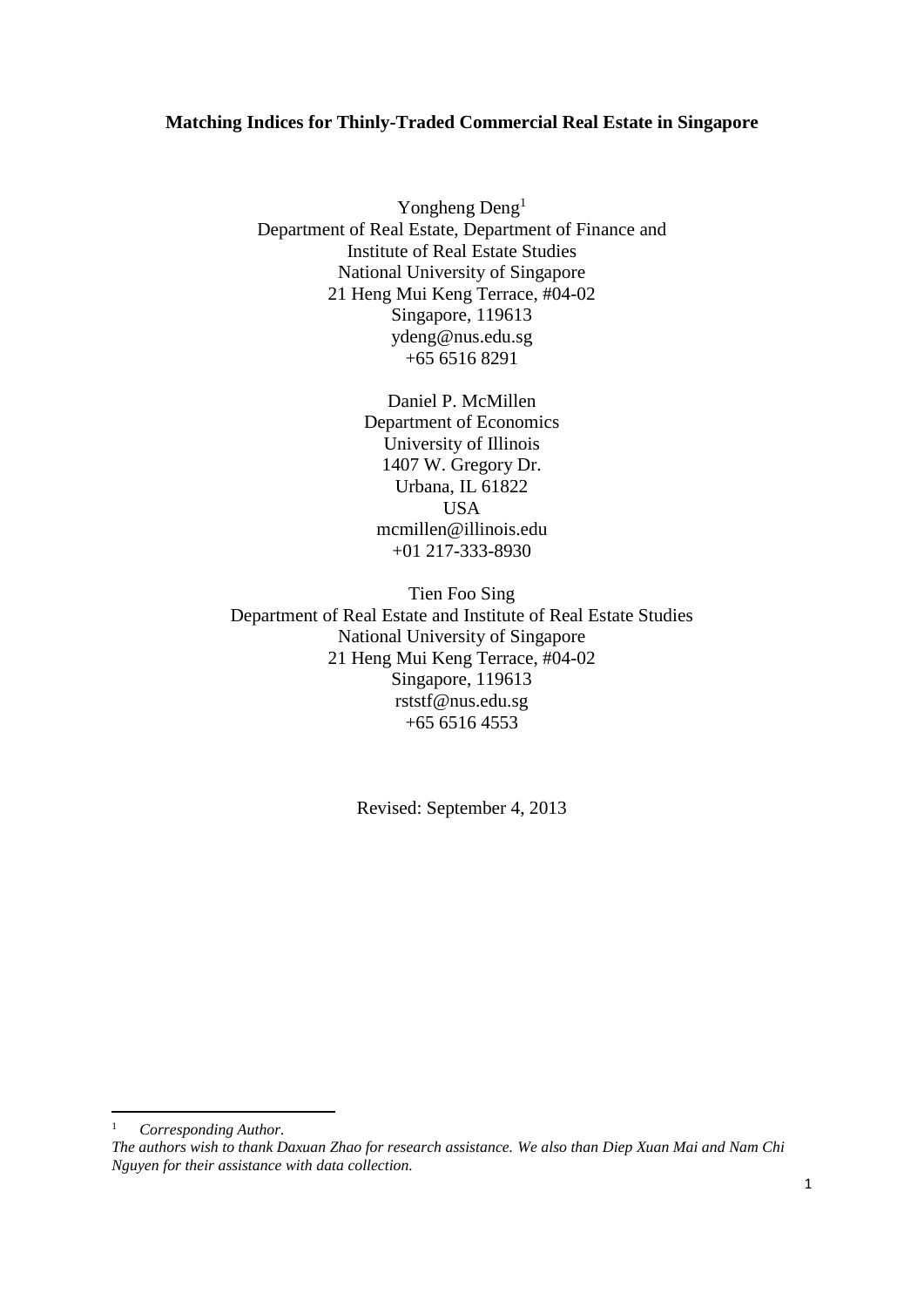# **Matching Indices for Thinly-Traded Commercial Real Estate in Singapore**

Yongheng Deng<sup>1</sup> Department of Real Estate, Department of Finance and Institute of Real Estate Studies National University of Singapore 21 Heng Mui Keng Terrace, #04-02 Singapore, 119613 ydeng@nus.edu.sg +65 6516 8291

> Daniel P. McMillen Department of Economics University of Illinois 1407 W. Gregory Dr. Urbana, IL 61822 USA mcmillen@illinois.edu +01 217-333-8930

Tien Foo Sing Department of Real Estate and Institute of Real Estate Studies National University of Singapore 21 Heng Mui Keng Terrace, #04-02 Singapore, 119613 rststf@nus.edu.sg  $+6565164553$ 

Revised: September 4, 2013

<sup>1</sup> *Corresponding Author.*

*The authors wish to thank Daxuan Zhao for research assistance. We also than Diep Xuan Mai and Nam Chi Nguyen for their assistance with data collection.*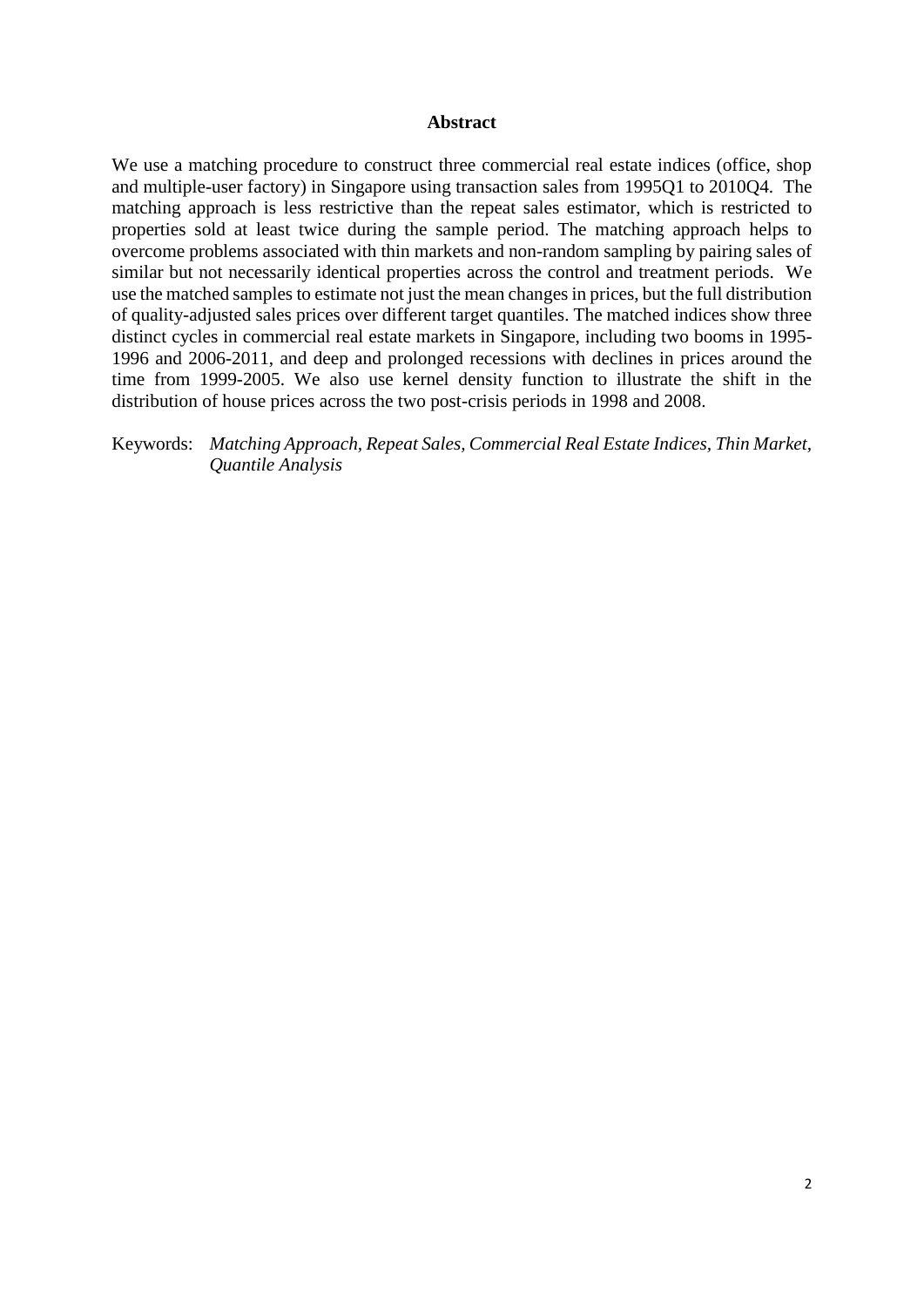## **Abstract**

We use a matching procedure to construct three commercial real estate indices (office, shop and multiple-user factory) in Singapore using transaction sales from 1995Q1 to 2010Q4. The matching approach is less restrictive than the repeat sales estimator, which is restricted to properties sold at least twice during the sample period. The matching approach helps to overcome problems associated with thin markets and non-random sampling by pairing sales of similar but not necessarily identical properties across the control and treatment periods. We use the matched samples to estimate not just the mean changes in prices, but the full distribution of quality-adjusted sales prices over different target quantiles. The matched indices show three distinct cycles in commercial real estate markets in Singapore, including two booms in 1995- 1996 and 2006-2011, and deep and prolonged recessions with declines in prices around the time from 1999-2005. We also use kernel density function to illustrate the shift in the distribution of house prices across the two post-crisis periods in 1998 and 2008.

Keywords: *Matching Approach, Repeat Sales, Commercial Real Estate Indices, Thin Market, Quantile Analysis*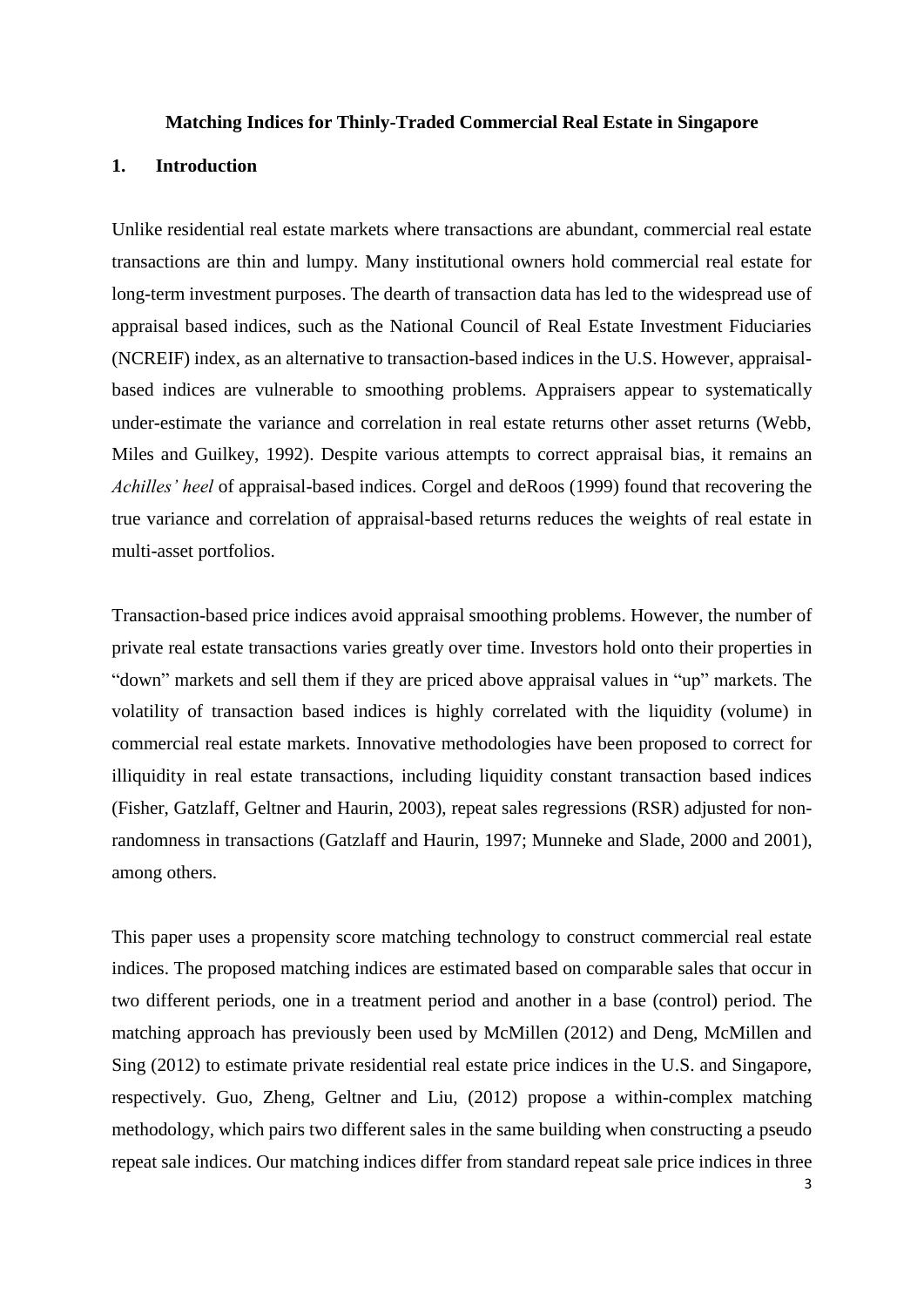#### **Matching Indices for Thinly-Traded Commercial Real Estate in Singapore**

# **1. Introduction**

Unlike residential real estate markets where transactions are abundant, commercial real estate transactions are thin and lumpy. Many institutional owners hold commercial real estate for long-term investment purposes. The dearth of transaction data has led to the widespread use of appraisal based indices, such as the National Council of Real Estate Investment Fiduciaries (NCREIF) index, as an alternative to transaction-based indices in the U.S. However, appraisalbased indices are vulnerable to smoothing problems. Appraisers appear to systematically under-estimate the variance and correlation in real estate returns other asset returns (Webb, Miles and Guilkey, 1992). Despite various attempts to correct appraisal bias, it remains an *Achilles' heel* of appraisal-based indices. Corgel and deRoos (1999) found that recovering the true variance and correlation of appraisal-based returns reduces the weights of real estate in multi-asset portfolios.

Transaction-based price indices avoid appraisal smoothing problems. However, the number of private real estate transactions varies greatly over time. Investors hold onto their properties in "down" markets and sell them if they are priced above appraisal values in "up" markets. The volatility of transaction based indices is highly correlated with the liquidity (volume) in commercial real estate markets. Innovative methodologies have been proposed to correct for illiquidity in real estate transactions, including liquidity constant transaction based indices (Fisher, Gatzlaff, Geltner and Haurin, 2003), repeat sales regressions (RSR) adjusted for nonrandomness in transactions (Gatzlaff and Haurin, 1997; Munneke and Slade, 2000 and 2001), among others.

This paper uses a propensity score matching technology to construct commercial real estate indices. The proposed matching indices are estimated based on comparable sales that occur in two different periods, one in a treatment period and another in a base (control) period. The matching approach has previously been used by McMillen (2012) and Deng, McMillen and Sing (2012) to estimate private residential real estate price indices in the U.S. and Singapore, respectively. Guo, Zheng, Geltner and Liu, (2012) propose a within-complex matching methodology, which pairs two different sales in the same building when constructing a pseudo repeat sale indices. Our matching indices differ from standard repeat sale price indices in three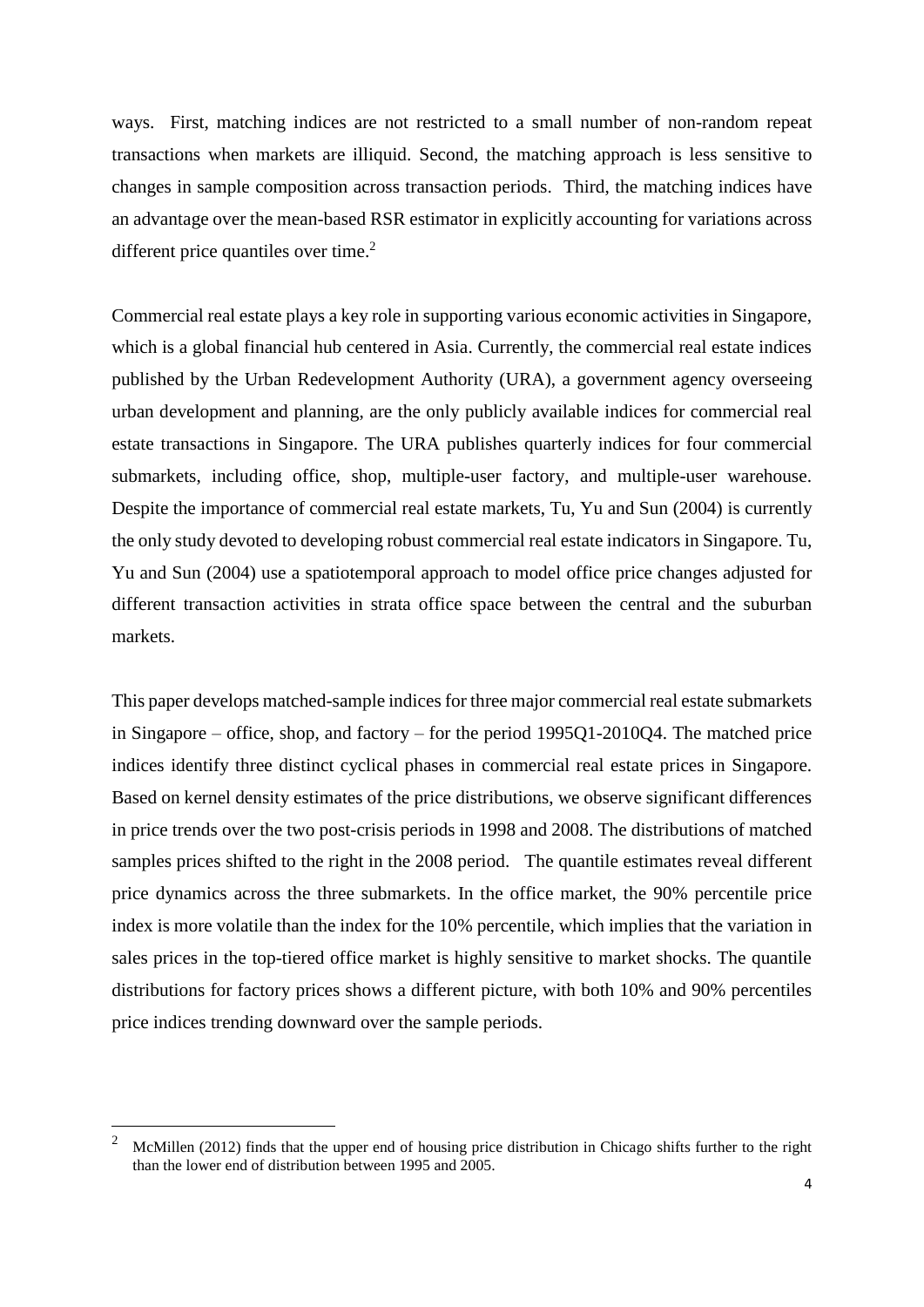ways. First, matching indices are not restricted to a small number of non-random repeat transactions when markets are illiquid. Second, the matching approach is less sensitive to changes in sample composition across transaction periods. Third, the matching indices have an advantage over the mean-based RSR estimator in explicitly accounting for variations across different price quantiles over time. $2$ 

Commercial real estate plays a key role in supporting various economic activities in Singapore, which is a global financial hub centered in Asia. Currently, the commercial real estate indices published by the Urban Redevelopment Authority (URA), a government agency overseeing urban development and planning, are the only publicly available indices for commercial real estate transactions in Singapore. The URA publishes quarterly indices for four commercial submarkets, including office, shop, multiple-user factory, and multiple-user warehouse. Despite the importance of commercial real estate markets, Tu, Yu and Sun (2004) is currently the only study devoted to developing robust commercial real estate indicators in Singapore. Tu, Yu and Sun (2004) use a spatiotemporal approach to model office price changes adjusted for different transaction activities in strata office space between the central and the suburban markets.

This paper develops matched-sample indices for three major commercial real estate submarkets in Singapore – office, shop, and factory – for the period 1995Q1-2010Q4. The matched price indices identify three distinct cyclical phases in commercial real estate prices in Singapore. Based on kernel density estimates of the price distributions, we observe significant differences in price trends over the two post-crisis periods in 1998 and 2008. The distributions of matched samples prices shifted to the right in the 2008 period. The quantile estimates reveal different price dynamics across the three submarkets. In the office market, the 90% percentile price index is more volatile than the index for the 10% percentile, which implies that the variation in sales prices in the top-tiered office market is highly sensitive to market shocks. The quantile distributions for factory prices shows a different picture, with both 10% and 90% percentiles price indices trending downward over the sample periods.

<u>.</u>

<sup>2</sup> McMillen (2012) finds that the upper end of housing price distribution in Chicago shifts further to the right than the lower end of distribution between 1995 and 2005.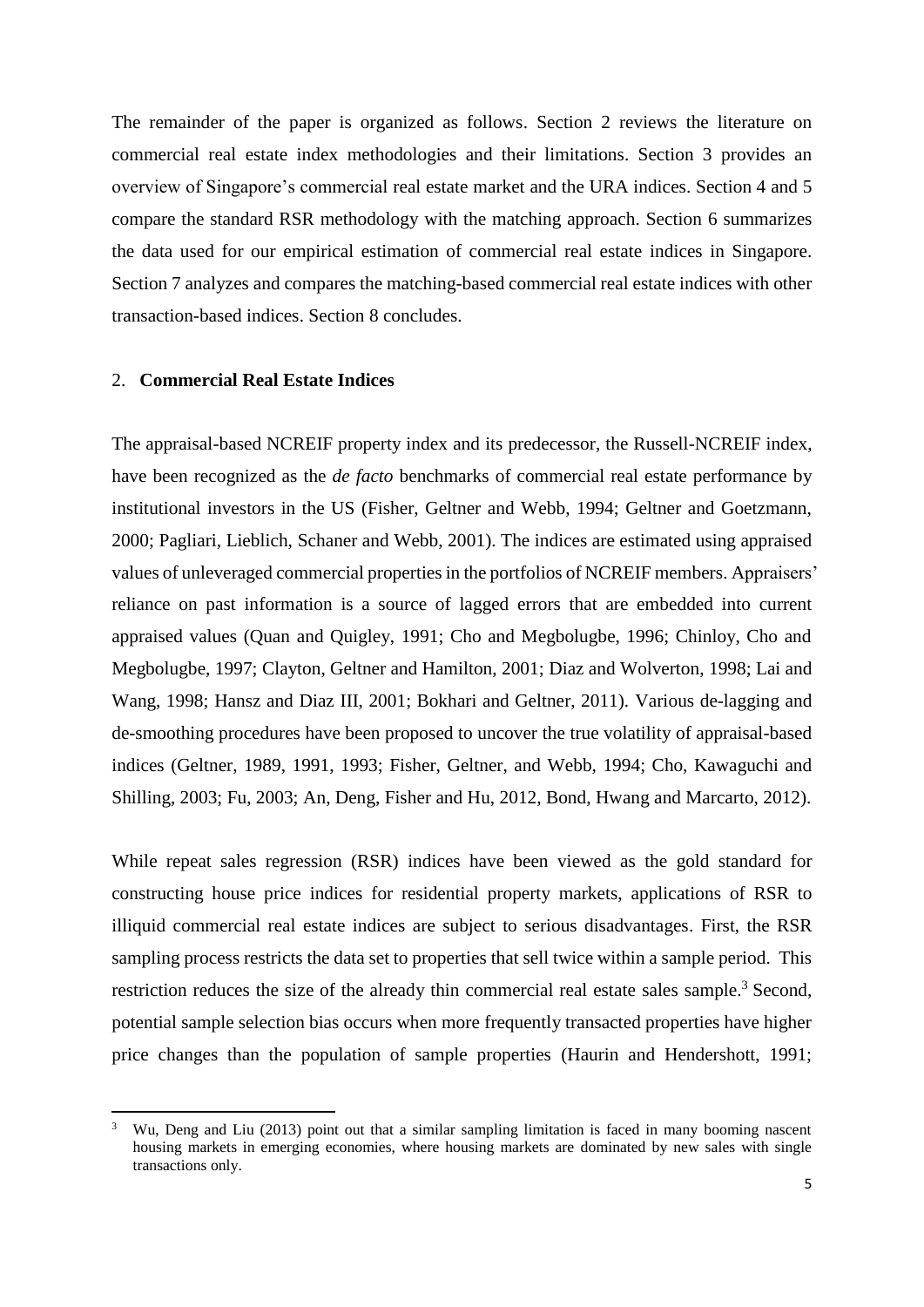The remainder of the paper is organized as follows. Section 2 reviews the literature on commercial real estate index methodologies and their limitations. Section 3 provides an overview of Singapore's commercial real estate market and the URA indices. Section 4 and 5 compare the standard RSR methodology with the matching approach. Section 6 summarizes the data used for our empirical estimation of commercial real estate indices in Singapore. Section 7 analyzes and compares the matching-based commercial real estate indices with other transaction-based indices. Section 8 concludes.

#### 2. **Commercial Real Estate Indices**

1

The appraisal-based NCREIF property index and its predecessor, the Russell-NCREIF index, have been recognized as the *de facto* benchmarks of commercial real estate performance by institutional investors in the US (Fisher, Geltner and Webb, 1994; Geltner and Goetzmann, 2000; Pagliari, Lieblich, Schaner and Webb, 2001). The indices are estimated using appraised values of unleveraged commercial properties in the portfolios of NCREIF members. Appraisers' reliance on past information is a source of lagged errors that are embedded into current appraised values (Quan and Quigley, 1991; Cho and Megbolugbe, 1996; Chinloy, Cho and Megbolugbe, 1997; Clayton, Geltner and Hamilton, 2001; Diaz and Wolverton, 1998; Lai and Wang, 1998; Hansz and Diaz III, 2001; Bokhari and Geltner, 2011). Various de-lagging and de-smoothing procedures have been proposed to uncover the true volatility of appraisal-based indices (Geltner, 1989, 1991, 1993; Fisher, Geltner, and Webb, 1994; Cho, Kawaguchi and Shilling, 2003; Fu, 2003; An, Deng, Fisher and Hu, 2012, Bond, Hwang and Marcarto, 2012).

While repeat sales regression (RSR) indices have been viewed as the gold standard for constructing house price indices for residential property markets, applications of RSR to illiquid commercial real estate indices are subject to serious disadvantages. First, the RSR sampling process restricts the data set to properties that sell twice within a sample period. This restriction reduces the size of the already thin commercial real estate sales sample.<sup>3</sup> Second, potential sample selection bias occurs when more frequently transacted properties have higher price changes than the population of sample properties (Haurin and Hendershott, 1991;

Wu, Deng and Liu (2013) point out that a similar sampling limitation is faced in many booming nascent housing markets in emerging economies, where housing markets are dominated by new sales with single transactions only.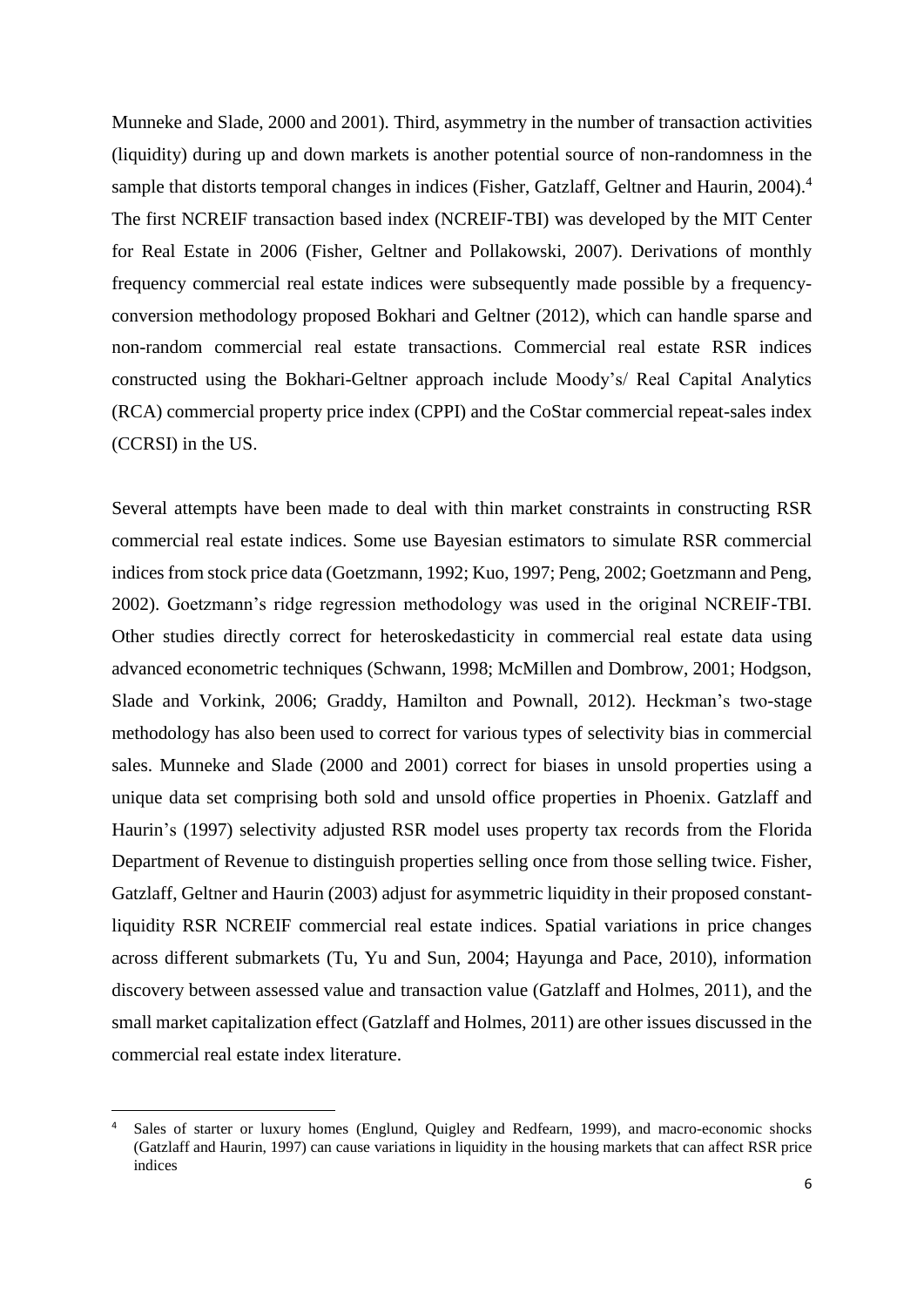Munneke and Slade, 2000 and 2001). Third, asymmetry in the number of transaction activities (liquidity) during up and down markets is another potential source of non-randomness in the sample that distorts temporal changes in indices (Fisher, Gatzlaff, Geltner and Haurin, 2004).<sup>4</sup> The first NCREIF transaction based index (NCREIF-TBI) was developed by the MIT Center for Real Estate in 2006 (Fisher, Geltner and Pollakowski, 2007). Derivations of monthly frequency commercial real estate indices were subsequently made possible by a frequencyconversion methodology proposed Bokhari and Geltner (2012), which can handle sparse and non-random commercial real estate transactions. Commercial real estate RSR indices constructed using the Bokhari-Geltner approach include Moody's/ Real Capital Analytics (RCA) commercial property price index (CPPI) and the CoStar commercial repeat-sales index (CCRSI) in the US.

Several attempts have been made to deal with thin market constraints in constructing RSR commercial real estate indices. Some use Bayesian estimators to simulate RSR commercial indices from stock price data (Goetzmann, 1992; Kuo, 1997; Peng, 2002; Goetzmann and Peng, 2002). Goetzmann's ridge regression methodology was used in the original NCREIF-TBI. Other studies directly correct for heteroskedasticity in commercial real estate data using advanced econometric techniques (Schwann, 1998; McMillen and Dombrow, 2001; Hodgson, Slade and Vorkink, 2006; Graddy, Hamilton and Pownall, 2012). Heckman's two-stage methodology has also been used to correct for various types of selectivity bias in commercial sales. Munneke and Slade (2000 and 2001) correct for biases in unsold properties using a unique data set comprising both sold and unsold office properties in Phoenix. Gatzlaff and Haurin's (1997) selectivity adjusted RSR model uses property tax records from the Florida Department of Revenue to distinguish properties selling once from those selling twice. Fisher, Gatzlaff, Geltner and Haurin (2003) adjust for asymmetric liquidity in their proposed constantliquidity RSR NCREIF commercial real estate indices. Spatial variations in price changes across different submarkets (Tu, Yu and Sun, 2004; Hayunga and Pace, 2010), information discovery between assessed value and transaction value (Gatzlaff and Holmes, 2011), and the small market capitalization effect (Gatzlaff and Holmes, 2011) are other issues discussed in the commercial real estate index literature.

Sales of starter or luxury homes (Englund, Quigley and Redfearn, 1999), and macro-economic shocks (Gatzlaff and Haurin, 1997) can cause variations in liquidity in the housing markets that can affect RSR price indices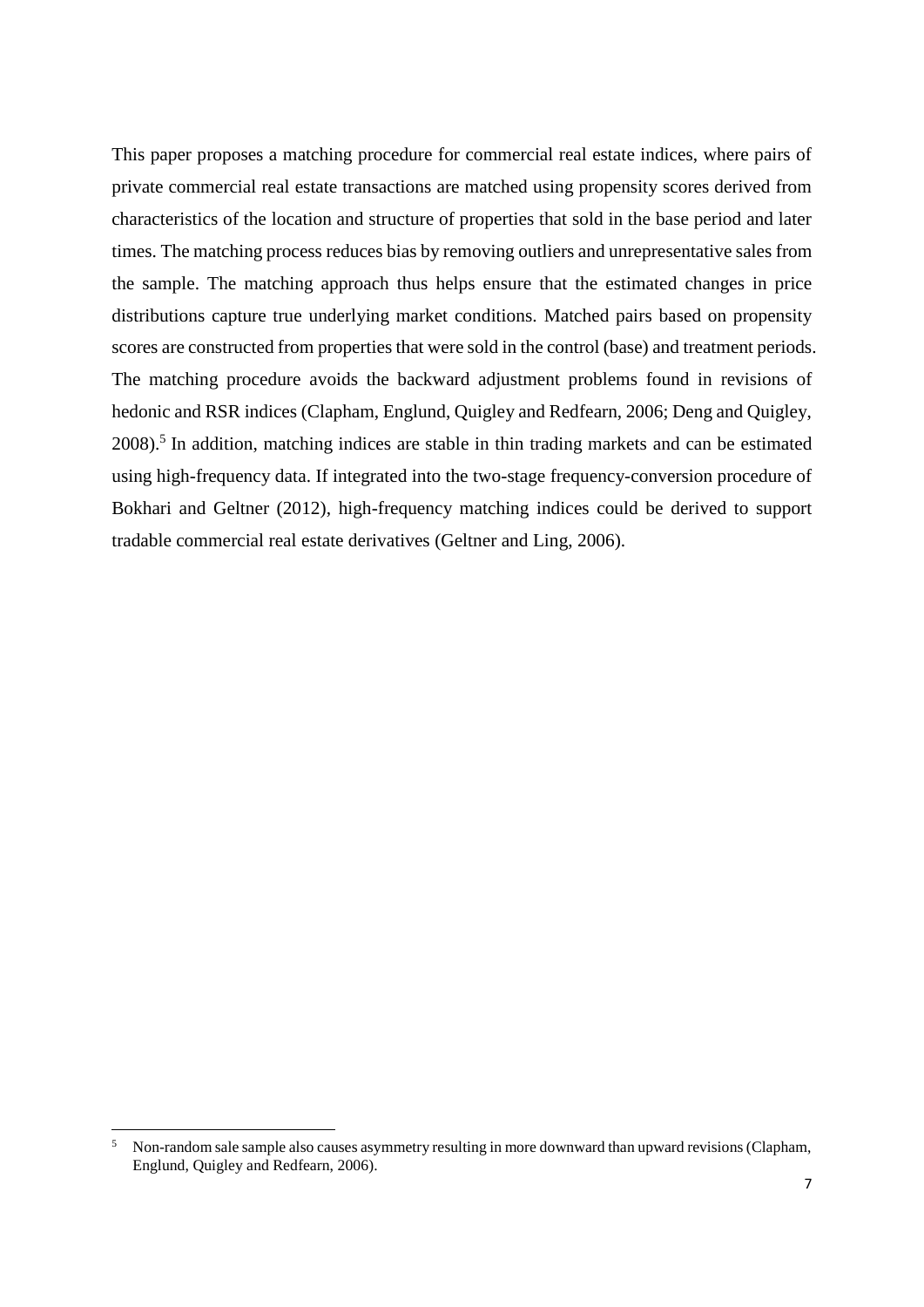This paper proposes a matching procedure for commercial real estate indices, where pairs of private commercial real estate transactions are matched using propensity scores derived from characteristics of the location and structure of properties that sold in the base period and later times. The matching process reduces bias by removing outliers and unrepresentative sales from the sample. The matching approach thus helps ensure that the estimated changes in price distributions capture true underlying market conditions. Matched pairs based on propensity scores are constructed from properties that were sold in the control (base) and treatment periods. The matching procedure avoids the backward adjustment problems found in revisions of hedonic and RSR indices (Clapham, Englund, Quigley and Redfearn, 2006; Deng and Quigley,  $2008$ ).<sup>5</sup> In addition, matching indices are stable in thin trading markets and can be estimated using high-frequency data. If integrated into the two-stage frequency-conversion procedure of Bokhari and Geltner (2012), high-frequency matching indices could be derived to support tradable commercial real estate derivatives (Geltner and Ling, 2006).

<u>.</u>

<sup>5</sup> Non-random sale sample also causes asymmetry resulting in more downward than upward revisions (Clapham, Englund, Quigley and Redfearn, 2006).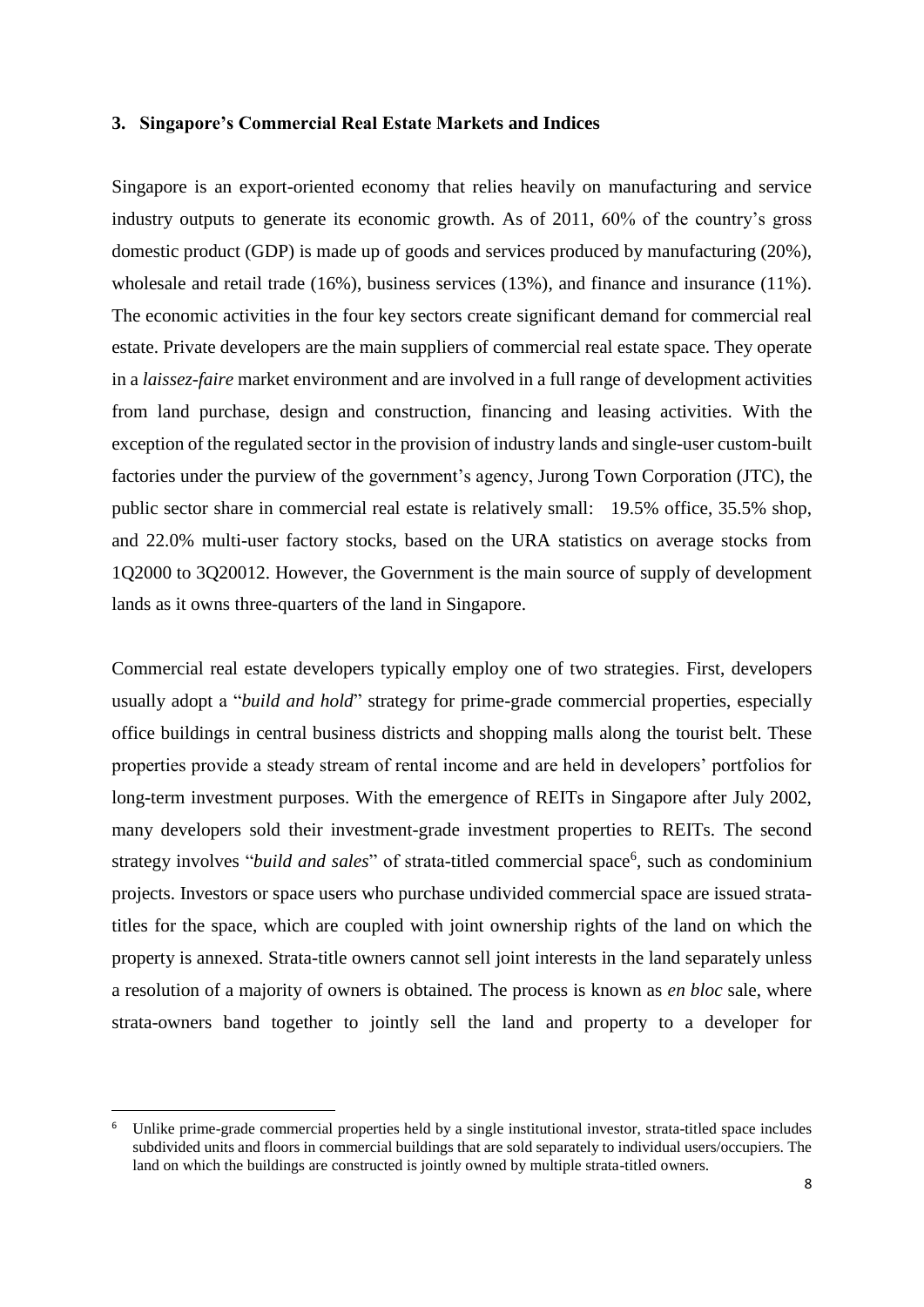#### **3. Singapore's Commercial Real Estate Markets and Indices**

Singapore is an export-oriented economy that relies heavily on manufacturing and service industry outputs to generate its economic growth. As of 2011, 60% of the country's gross domestic product (GDP) is made up of goods and services produced by manufacturing (20%), wholesale and retail trade (16%), business services (13%), and finance and insurance (11%). The economic activities in the four key sectors create significant demand for commercial real estate. Private developers are the main suppliers of commercial real estate space. They operate in a *laissez-faire* market environment and are involved in a full range of development activities from land purchase, design and construction, financing and leasing activities. With the exception of the regulated sector in the provision of industry lands and single-user custom-built factories under the purview of the government's agency, Jurong Town Corporation (JTC), the public sector share in commercial real estate is relatively small: 19.5% office, 35.5% shop, and 22.0% multi-user factory stocks, based on the URA statistics on average stocks from 1Q2000 to 3Q20012. However, the Government is the main source of supply of development lands as it owns three-quarters of the land in Singapore.

Commercial real estate developers typically employ one of two strategies. First, developers usually adopt a "*build and hold*" strategy for prime-grade commercial properties, especially office buildings in central business districts and shopping malls along the tourist belt. These properties provide a steady stream of rental income and are held in developers' portfolios for long-term investment purposes. With the emergence of REITs in Singapore after July 2002, many developers sold their investment-grade investment properties to REITs. The second strategy involves "build and sales" of strata-titled commercial space<sup>6</sup>, such as condominium projects. Investors or space users who purchase undivided commercial space are issued stratatitles for the space, which are coupled with joint ownership rights of the land on which the property is annexed. Strata-title owners cannot sell joint interests in the land separately unless a resolution of a majority of owners is obtained. The process is known as *en bloc* sale, where strata-owners band together to jointly sell the land and property to a developer for

Unlike prime-grade commercial properties held by a single institutional investor, strata-titled space includes subdivided units and floors in commercial buildings that are sold separately to individual users/occupiers. The land on which the buildings are constructed is jointly owned by multiple strata-titled owners.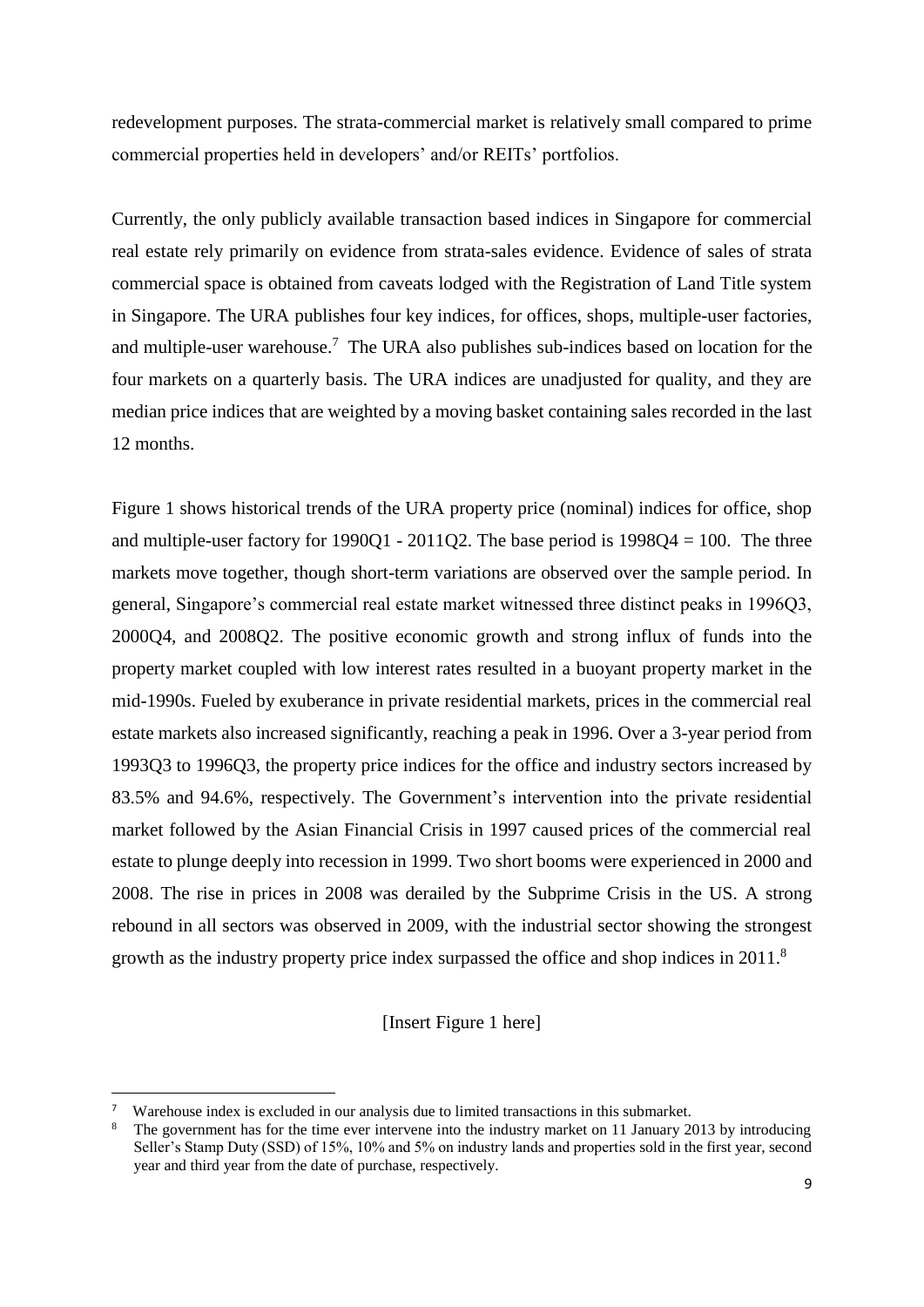redevelopment purposes. The strata-commercial market is relatively small compared to prime commercial properties held in developers' and/or REITs' portfolios.

Currently, the only publicly available transaction based indices in Singapore for commercial real estate rely primarily on evidence from strata-sales evidence. Evidence of sales of strata commercial space is obtained from caveats lodged with the Registration of Land Title system in Singapore. The URA publishes four key indices, for offices, shops, multiple-user factories, and multiple-user warehouse. <sup>7</sup> The URA also publishes sub-indices based on location for the four markets on a quarterly basis. The URA indices are unadjusted for quality, and they are median price indices that are weighted by a moving basket containing sales recorded in the last 12 months.

Figure 1 shows historical trends of the URA property price (nominal) indices for office, shop and multiple-user factory for  $1990Q1 - 2011Q2$ . The base period is  $1998Q4 = 100$ . The three markets move together, though short-term variations are observed over the sample period. In general, Singapore's commercial real estate market witnessed three distinct peaks in 1996Q3, 2000Q4, and 2008Q2. The positive economic growth and strong influx of funds into the property market coupled with low interest rates resulted in a buoyant property market in the mid-1990s. Fueled by exuberance in private residential markets, prices in the commercial real estate markets also increased significantly, reaching a peak in 1996. Over a 3-year period from 1993Q3 to 1996Q3, the property price indices for the office and industry sectors increased by 83.5% and 94.6%, respectively. The Government's intervention into the private residential market followed by the Asian Financial Crisis in 1997 caused prices of the commercial real estate to plunge deeply into recession in 1999. Two short booms were experienced in 2000 and 2008. The rise in prices in 2008 was derailed by the Subprime Crisis in the US. A strong rebound in all sectors was observed in 2009, with the industrial sector showing the strongest growth as the industry property price index surpassed the office and shop indices in 2011.<sup>8</sup>

[Insert Figure 1 here]

<sup>7</sup> Warehouse index is excluded in our analysis due to limited transactions in this submarket.

The government has for the time ever intervene into the industry market on 11 January 2013 by introducing Seller's Stamp Duty (SSD) of 15%, 10% and 5% on industry lands and properties sold in the first year, second year and third year from the date of purchase, respectively.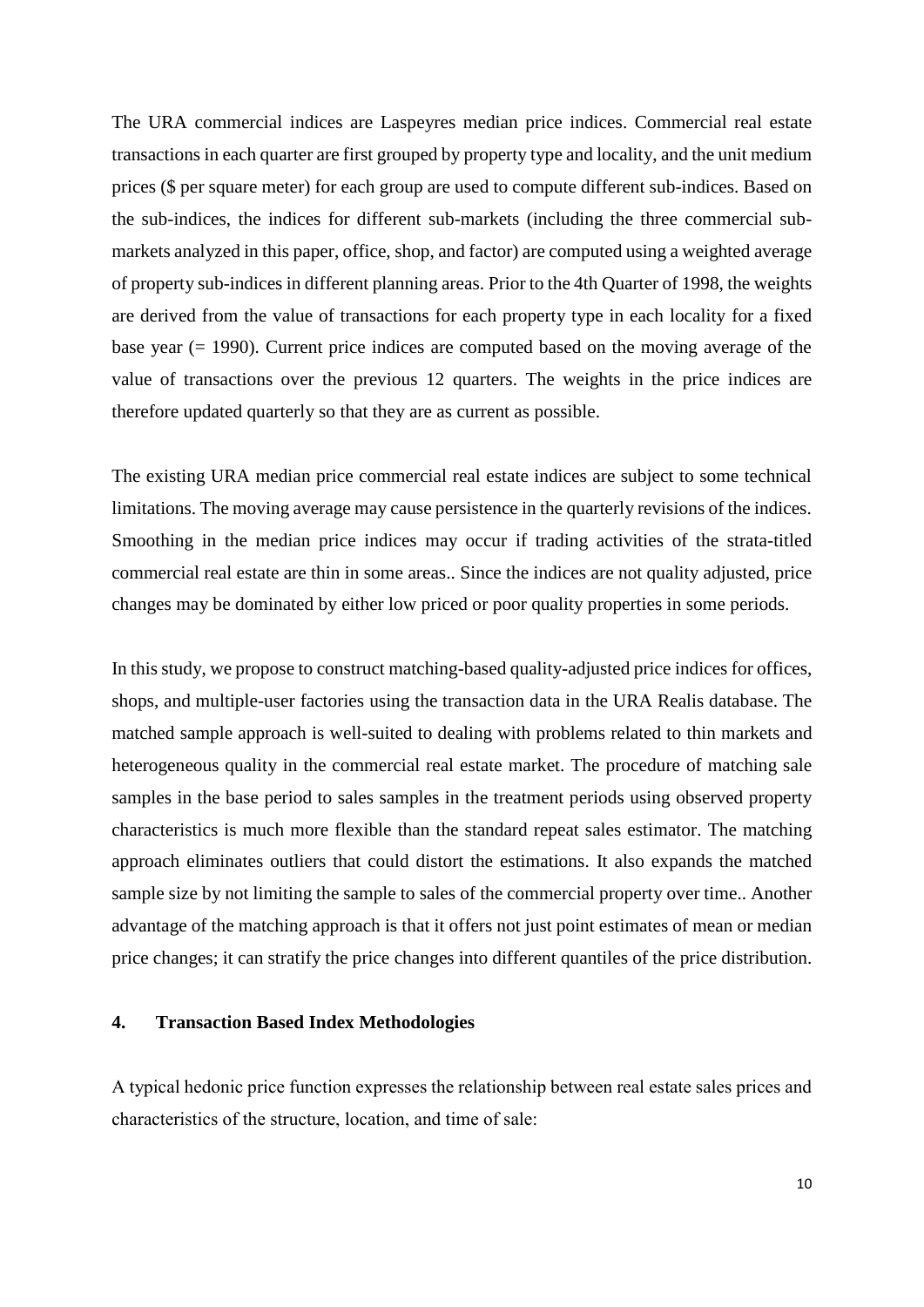The URA commercial indices are Laspeyres median price indices. Commercial real estate transactions in each quarter are first grouped by property type and locality, and the unit medium prices (\$ per square meter) for each group are used to compute different sub-indices. Based on the sub-indices, the indices for different sub-markets (including the three commercial submarkets analyzed in this paper, office, shop, and factor) are computed using a weighted average of property sub-indices in different planning areas. Prior to the 4th Quarter of 1998, the weights are derived from the value of transactions for each property type in each locality for a fixed base year (= 1990). Current price indices are computed based on the moving average of the value of transactions over the previous 12 quarters. The weights in the price indices are therefore updated quarterly so that they are as current as possible.

The existing URA median price commercial real estate indices are subject to some technical limitations. The moving average may cause persistence in the quarterly revisions of the indices. Smoothing in the median price indices may occur if trading activities of the strata-titled commercial real estate are thin in some areas.. Since the indices are not quality adjusted, price changes may be dominated by either low priced or poor quality properties in some periods.

In this study, we propose to construct matching-based quality-adjusted price indices for offices, shops, and multiple-user factories using the transaction data in the URA Realis database. The matched sample approach is well-suited to dealing with problems related to thin markets and heterogeneous quality in the commercial real estate market. The procedure of matching sale samples in the base period to sales samples in the treatment periods using observed property characteristics is much more flexible than the standard repeat sales estimator. The matching approach eliminates outliers that could distort the estimations. It also expands the matched sample size by not limiting the sample to sales of the commercial property over time.. Another advantage of the matching approach is that it offers not just point estimates of mean or median price changes; it can stratify the price changes into different quantiles of the price distribution.

# **4. Transaction Based Index Methodologies**

A typical hedonic price function expresses the relationship between real estate sales prices and characteristics of the structure, location, and time of sale: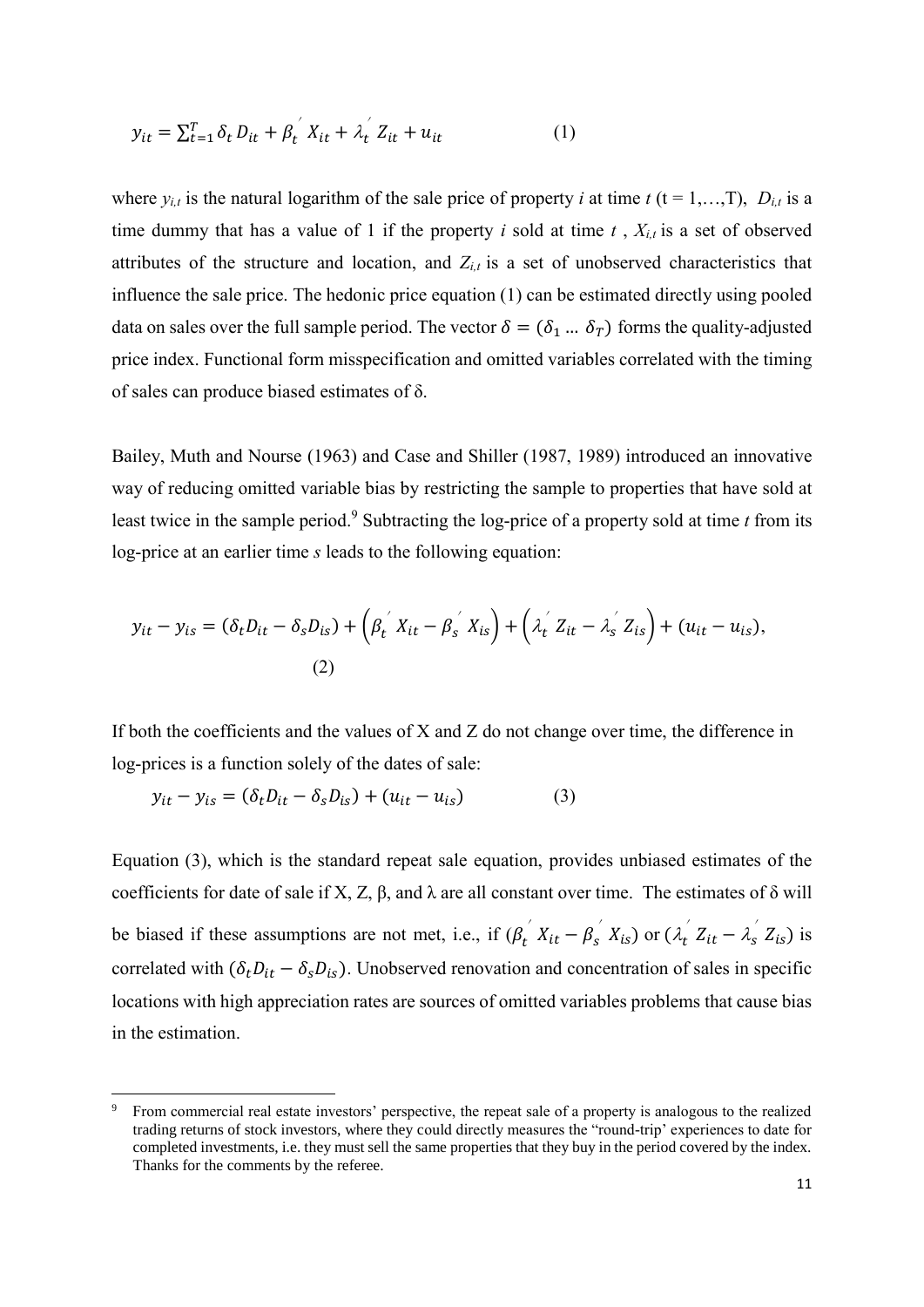$$
y_{it} = \sum_{t=1}^{T} \delta_t D_{it} + \beta_t^{'} X_{it} + \lambda_t^{'} Z_{it} + u_{it}
$$
 (1)

where  $y_{i,t}$  is the natural logarithm of the sale price of property *i* at time  $t$  (t = 1,…, T),  $D_{i,t}$  is a time dummy that has a value of 1 if the property *i* sold at time  $t$ ,  $X_{i,t}$  is a set of observed attributes of the structure and location, and  $Z_{i,t}$  is a set of unobserved characteristics that influence the sale price. The hedonic price equation (1) can be estimated directly using pooled data on sales over the full sample period. The vector  $\delta = (\delta_1 ... \delta_T)$  forms the quality-adjusted price index. Functional form misspecification and omitted variables correlated with the timing of sales can produce biased estimates of δ.

Bailey, Muth and Nourse (1963) and Case and Shiller (1987, 1989) introduced an innovative way of reducing omitted variable bias by restricting the sample to properties that have sold at least twice in the sample period. <sup>9</sup> Subtracting the log-price of a property sold at time *t* from its log-price at an earlier time *s* leads to the following equation:

$$
y_{it} - y_{is} = (\delta_t D_{it} - \delta_s D_{is}) + (\beta_t^{'} X_{it} - \beta_s^{'} X_{is}) + (\lambda_t^{'} Z_{it} - \lambda_s^{'} Z_{is}) + (u_{it} - u_{is}),
$$
  
(2)

If both the coefficients and the values of X and Z do not change over time, the difference in log-prices is a function solely of the dates of sale:

$$
y_{it} - y_{is} = (\delta_t D_{it} - \delta_s D_{is}) + (u_{it} - u_{is})
$$
 (3)

1

Equation (3), which is the standard repeat sale equation, provides unbiased estimates of the coefficients for date of sale if X, Z,  $\beta$ , and  $\lambda$  are all constant over time. The estimates of  $\delta$  will be biased if these assumptions are not met, i.e., if  $(\beta_t \nvert X_{it} - \beta_s \nvert X_{is})$  or  $(\lambda_t \nvert Z_{it} - \lambda_s \nvert Z_{is})$  is correlated with  $(\delta_t D_{it} - \delta_s D_{is})$ . Unobserved renovation and concentration of sales in specific locations with high appreciation rates are sources of omitted variables problems that cause bias in the estimation.

From commercial real estate investors' perspective, the repeat sale of a property is analogous to the realized trading returns of stock investors, where they could directly measures the "round-trip' experiences to date for completed investments, i.e. they must sell the same properties that they buy in the period covered by the index. Thanks for the comments by the referee.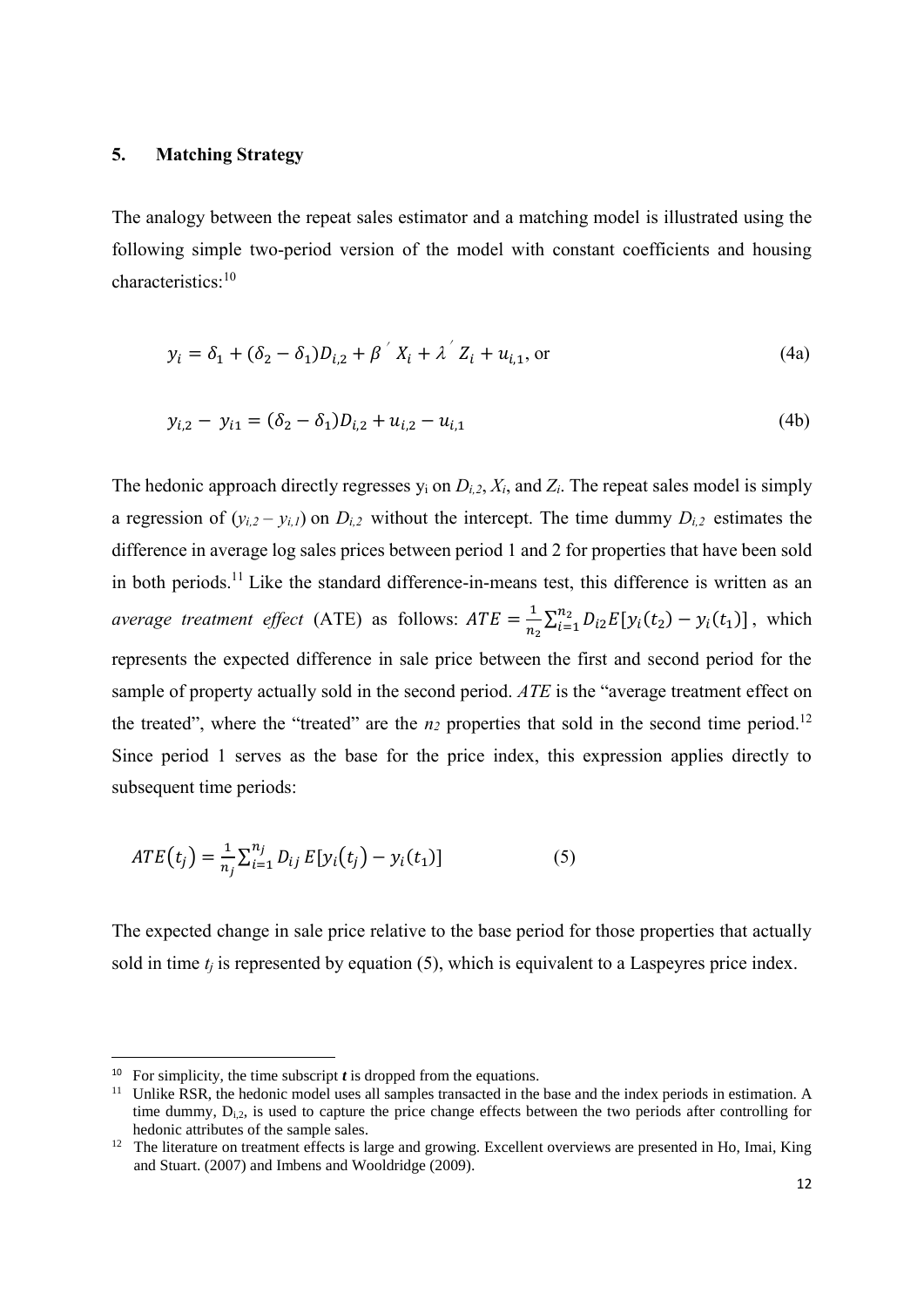## **5. Matching Strategy**

The analogy between the repeat sales estimator and a matching model is illustrated using the following simple two-period version of the model with constant coefficients and housing characteristics: 10

$$
y_i = \delta_1 + (\delta_2 - \delta_1)D_{i,2} + \beta' X_i + \lambda' Z_i + u_{i,1}, \text{ or}
$$
(4a)

$$
y_{i,2} - y_{i1} = (\delta_2 - \delta_1)D_{i,2} + u_{i,2} - u_{i,1}
$$
 (4b)

The hedonic approach directly regresses  $y_i$  on  $D_{i,2}$ ,  $X_i$ , and  $Z_i$ . The repeat sales model is simply a regression of  $(y_{i,2} - y_{i,l})$  on  $D_{i,2}$  without the intercept. The time dummy  $D_{i,2}$  estimates the difference in average log sales prices between period 1 and 2 for properties that have been sold in both periods.<sup>11</sup> Like the standard difference-in-means test, this difference is written as an *average treatment effect* (ATE) as follows:  $ATE = \frac{1}{x}$  $\frac{1}{n_2} \sum_{i=1}^{n_2} D_{i2} E[y_i(t_2) - y_i(t_1)]$  $\sum_{i=1}^{n_2} D_{i2} E[y_i(t_2) - y_i(t_1)]$ , which represents the expected difference in sale price between the first and second period for the sample of property actually sold in the second period. *ATE* is the "average treatment effect on the treated", where the "treated" are the  $n_2$  properties that sold in the second time period.<sup>12</sup> Since period 1 serves as the base for the price index, this expression applies directly to subsequent time periods:

$$
ATE(t_j) = \frac{1}{n_j} \sum_{i=1}^{n_j} D_{ij} E[y_i(t_j) - y_i(t_1)] \tag{5}
$$

The expected change in sale price relative to the base period for those properties that actually sold in time  $t_i$  is represented by equation (5), which is equivalent to a Laspeyres price index.

<sup>&</sup>lt;sup>10</sup> For simplicity, the time subscript  $t$  is dropped from the equations.

<sup>&</sup>lt;sup>11</sup> Unlike RSR, the hedonic model uses all samples transacted in the base and the index periods in estimation. A time dummy,  $D_{i,2}$ , is used to capture the price change effects between the two periods after controlling for hedonic attributes of the sample sales.

<sup>&</sup>lt;sup>12</sup> The literature on treatment effects is large and growing. Excellent overviews are presented in Ho, Imai, King and Stuart. (2007) and Imbens and Wooldridge (2009).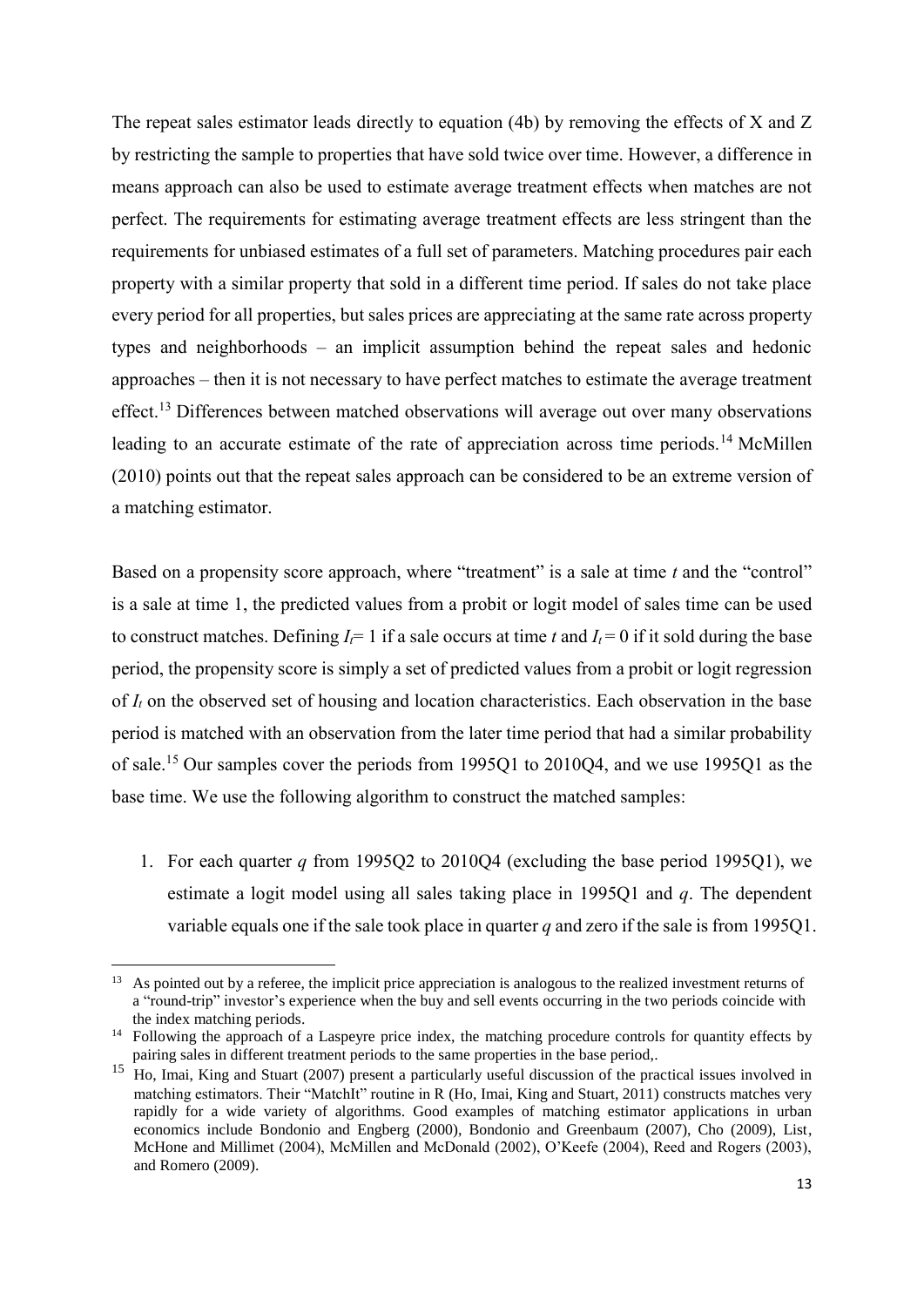The repeat sales estimator leads directly to equation (4b) by removing the effects of X and Z by restricting the sample to properties that have sold twice over time. However, a difference in means approach can also be used to estimate average treatment effects when matches are not perfect. The requirements for estimating average treatment effects are less stringent than the requirements for unbiased estimates of a full set of parameters. Matching procedures pair each property with a similar property that sold in a different time period. If sales do not take place every period for all properties, but sales prices are appreciating at the same rate across property types and neighborhoods – an implicit assumption behind the repeat sales and hedonic approaches – then it is not necessary to have perfect matches to estimate the average treatment effect.<sup>13</sup> Differences between matched observations will average out over many observations leading to an accurate estimate of the rate of appreciation across time periods.<sup>14</sup> McMillen (2010) points out that the repeat sales approach can be considered to be an extreme version of a matching estimator.

Based on a propensity score approach, where "treatment" is a sale at time *t* and the "control" is a sale at time 1, the predicted values from a probit or logit model of sales time can be used to construct matches. Defining  $I_f = 1$  if a sale occurs at time *t* and  $I_f = 0$  if it sold during the base period, the propensity score is simply a set of predicted values from a probit or logit regression of  $I_t$  on the observed set of housing and location characteristics. Each observation in the base period is matched with an observation from the later time period that had a similar probability of sale.<sup>15</sup> Our samples cover the periods from 1995Q1 to 2010Q4, and we use 1995Q1 as the base time. We use the following algorithm to construct the matched samples:

1. For each quarter *q* from 1995Q2 to 2010Q4 (excluding the base period 1995Q1), we estimate a logit model using all sales taking place in 1995Q1 and *q*. The dependent variable equals one if the sale took place in quarter *q* and zero if the sale is from 1995Q1.

<sup>&</sup>lt;sup>13</sup> As pointed out by a referee, the implicit price appreciation is analogous to the realized investment returns of a "round-trip" investor's experience when the buy and sell events occurring in the two periods coincide with the index matching periods.

<sup>&</sup>lt;sup>14</sup> Following the approach of a Laspeyre price index, the matching procedure controls for quantity effects by pairing sales in different treatment periods to the same properties in the base period,.

<sup>15</sup> Ho, Imai, King and Stuart (2007) present a particularly useful discussion of the practical issues involved in matching estimators. Their "MatchIt" routine in R (Ho, Imai, King and Stuart, 2011) constructs matches very rapidly for a wide variety of algorithms. Good examples of matching estimator applications in urban economics include Bondonio and Engberg (2000), Bondonio and Greenbaum (2007), Cho (2009), List, McHone and Millimet (2004), McMillen and McDonald (2002), O'Keefe (2004), Reed and Rogers (2003), and Romero (2009).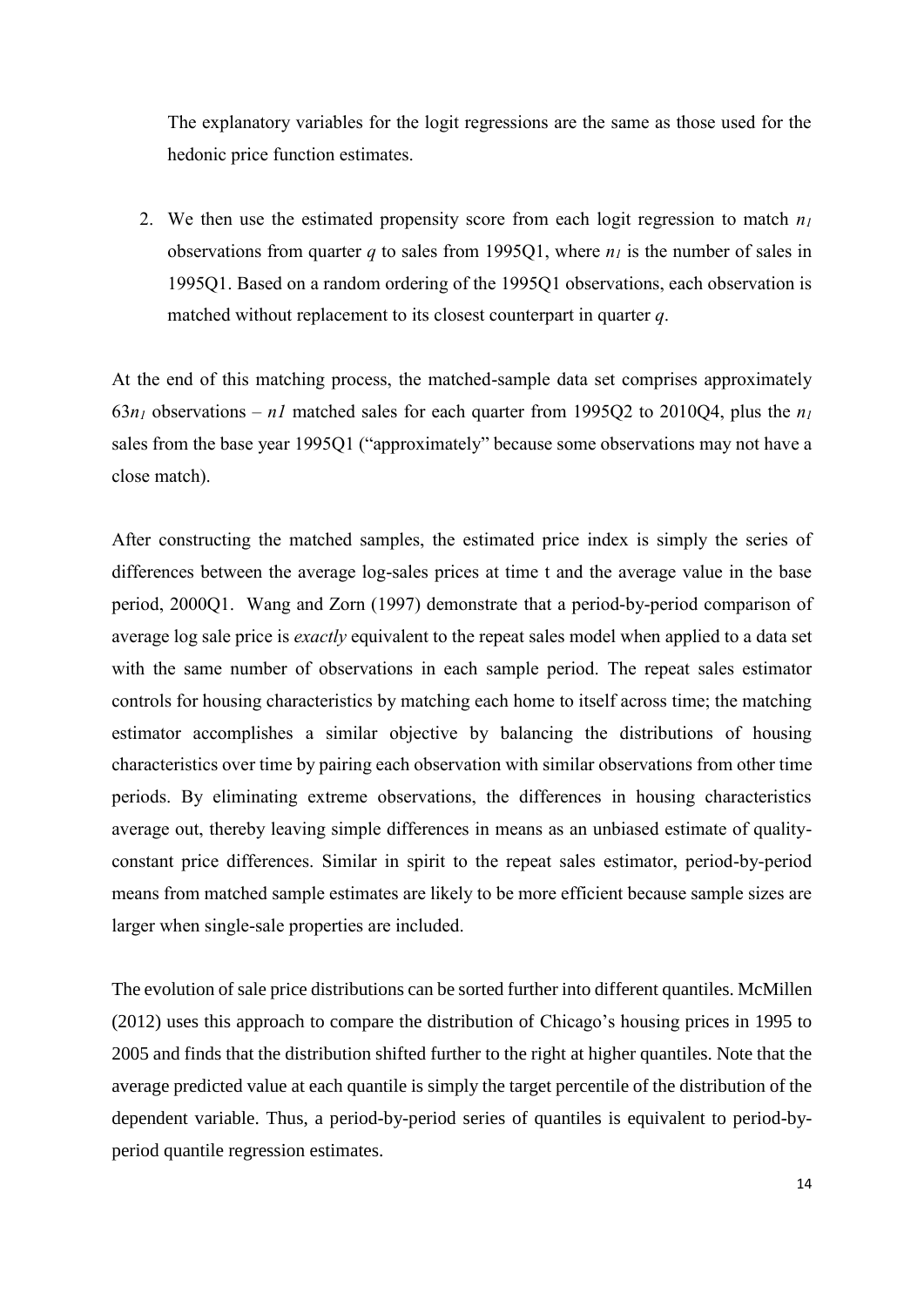The explanatory variables for the logit regressions are the same as those used for the hedonic price function estimates.

2. We then use the estimated propensity score from each logit regression to match *n<sup>1</sup>* observations from quarter *q* to sales from 1995O1, where  $n<sub>l</sub>$  is the number of sales in 1995Q1. Based on a random ordering of the 1995Q1 observations, each observation is matched without replacement to its closest counterpart in quarter *q*.

At the end of this matching process, the matched-sample data set comprises approximately 63 $n_1$  observations –  $n_1$  matched sales for each quarter from 1995Q2 to 2010Q4, plus the  $n_1$ sales from the base year 1995Q1 ("approximately" because some observations may not have a close match).

After constructing the matched samples, the estimated price index is simply the series of differences between the average log-sales prices at time t and the average value in the base period, 2000Q1. Wang and Zorn (1997) demonstrate that a period-by-period comparison of average log sale price is *exactly* equivalent to the repeat sales model when applied to a data set with the same number of observations in each sample period. The repeat sales estimator controls for housing characteristics by matching each home to itself across time; the matching estimator accomplishes a similar objective by balancing the distributions of housing characteristics over time by pairing each observation with similar observations from other time periods. By eliminating extreme observations, the differences in housing characteristics average out, thereby leaving simple differences in means as an unbiased estimate of qualityconstant price differences. Similar in spirit to the repeat sales estimator, period-by-period means from matched sample estimates are likely to be more efficient because sample sizes are larger when single-sale properties are included.

The evolution of sale price distributions can be sorted further into different quantiles. McMillen (2012) uses this approach to compare the distribution of Chicago's housing prices in 1995 to 2005 and finds that the distribution shifted further to the right at higher quantiles. Note that the average predicted value at each quantile is simply the target percentile of the distribution of the dependent variable. Thus, a period-by-period series of quantiles is equivalent to period-byperiod quantile regression estimates.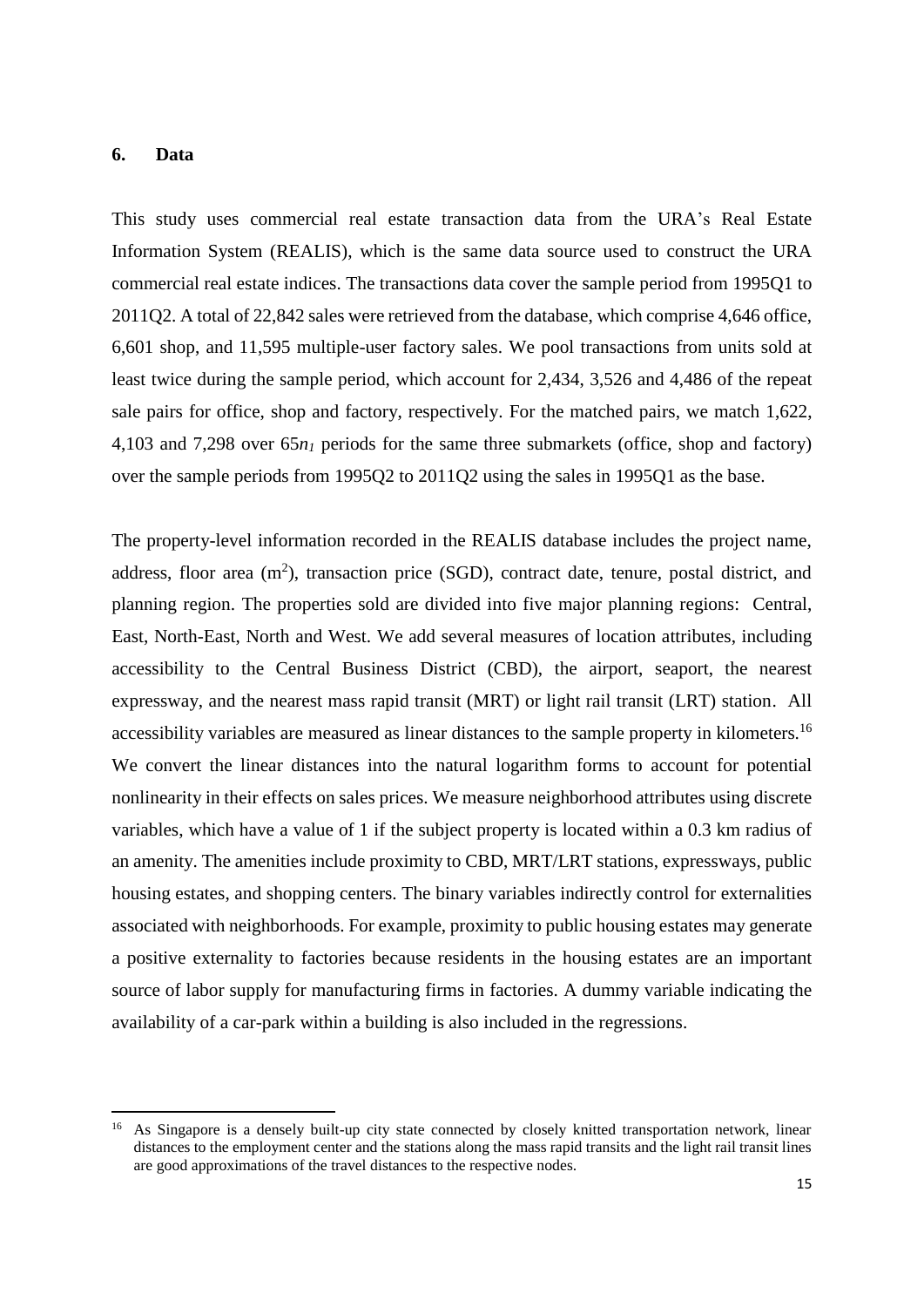#### **6. Data**

1

This study uses commercial real estate transaction data from the URA's Real Estate Information System (REALIS), which is the same data source used to construct the URA commercial real estate indices. The transactions data cover the sample period from 1995Q1 to 2011Q2. A total of 22,842 sales were retrieved from the database, which comprise 4,646 office, 6,601 shop, and 11,595 multiple-user factory sales. We pool transactions from units sold at least twice during the sample period, which account for 2,434, 3,526 and 4,486 of the repeat sale pairs for office, shop and factory, respectively. For the matched pairs, we match 1,622, 4,103 and 7,298 over 65*n<sup>1</sup>* periods for the same three submarkets (office, shop and factory) over the sample periods from 1995Q2 to 2011Q2 using the sales in 1995Q1 as the base.

The property-level information recorded in the REALIS database includes the project name, address, floor area  $(m^2)$ , transaction price (SGD), contract date, tenure, postal district, and planning region. The properties sold are divided into five major planning regions: Central, East, North-East, North and West. We add several measures of location attributes, including accessibility to the Central Business District (CBD), the airport, seaport, the nearest expressway, and the nearest mass rapid transit (MRT) or light rail transit (LRT) station. All accessibility variables are measured as linear distances to the sample property in kilometers.<sup>16</sup> We convert the linear distances into the natural logarithm forms to account for potential nonlinearity in their effects on sales prices. We measure neighborhood attributes using discrete variables, which have a value of 1 if the subject property is located within a 0.3 km radius of an amenity. The amenities include proximity to CBD, MRT/LRT stations, expressways, public housing estates, and shopping centers. The binary variables indirectly control for externalities associated with neighborhoods. For example, proximity to public housing estates may generate a positive externality to factories because residents in the housing estates are an important source of labor supply for manufacturing firms in factories. A dummy variable indicating the availability of a car-park within a building is also included in the regressions.

<sup>&</sup>lt;sup>16</sup> As Singapore is a densely built-up city state connected by closely knitted transportation network, linear distances to the employment center and the stations along the mass rapid transits and the light rail transit lines are good approximations of the travel distances to the respective nodes.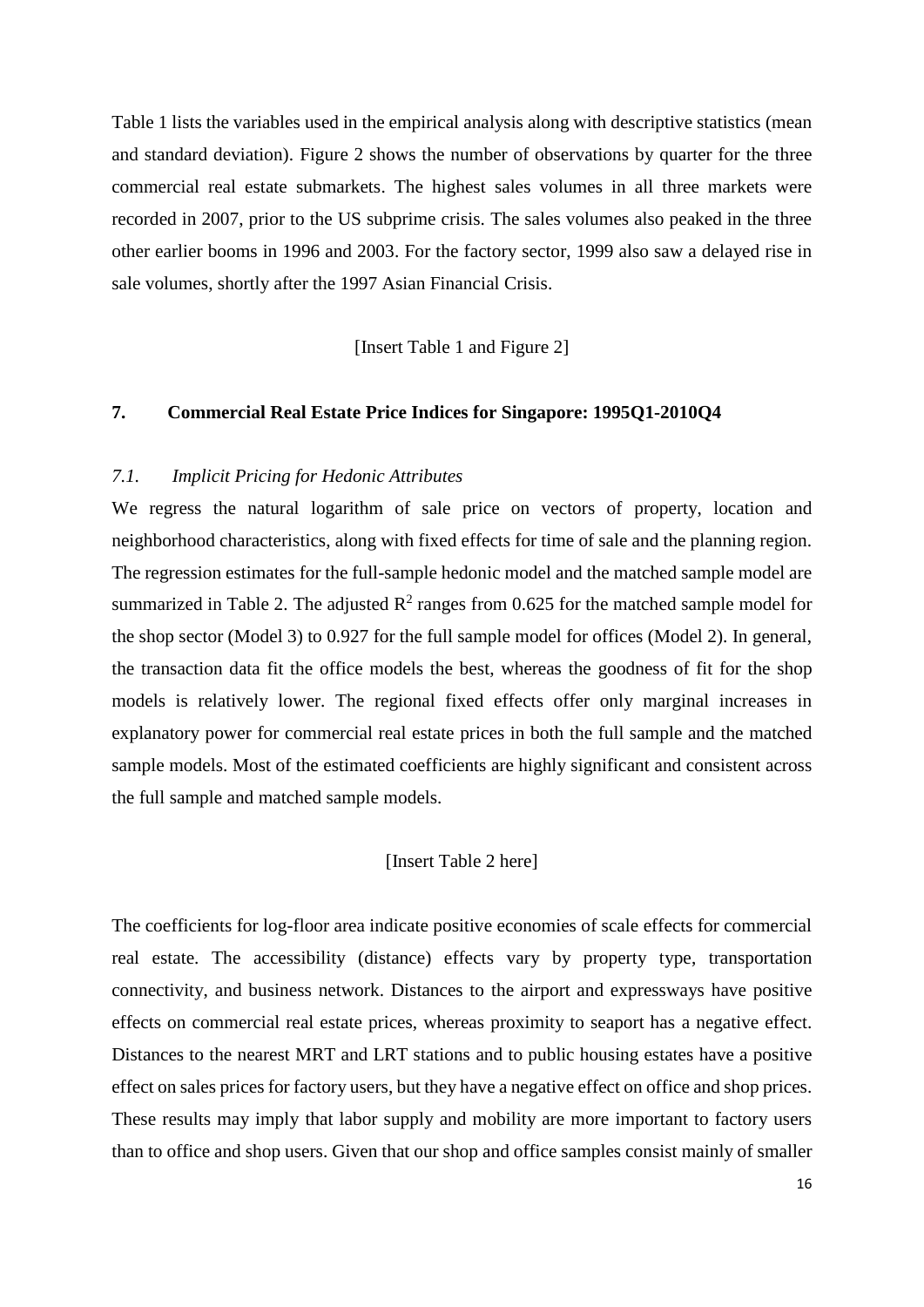Table 1 lists the variables used in the empirical analysis along with descriptive statistics (mean and standard deviation). Figure 2 shows the number of observations by quarter for the three commercial real estate submarkets. The highest sales volumes in all three markets were recorded in 2007, prior to the US subprime crisis. The sales volumes also peaked in the three other earlier booms in 1996 and 2003. For the factory sector, 1999 also saw a delayed rise in sale volumes, shortly after the 1997 Asian Financial Crisis.

[Insert Table 1 and Figure 2]

# **7. Commercial Real Estate Price Indices for Singapore: 1995Q1-2010Q4**

#### *7.1. Implicit Pricing for Hedonic Attributes*

We regress the natural logarithm of sale price on vectors of property, location and neighborhood characteristics, along with fixed effects for time of sale and the planning region. The regression estimates for the full-sample hedonic model and the matched sample model are summarized in Table 2. The adjusted  $\mathbb{R}^2$  ranges from 0.625 for the matched sample model for the shop sector (Model 3) to 0.927 for the full sample model for offices (Model 2). In general, the transaction data fit the office models the best, whereas the goodness of fit for the shop models is relatively lower. The regional fixed effects offer only marginal increases in explanatory power for commercial real estate prices in both the full sample and the matched sample models. Most of the estimated coefficients are highly significant and consistent across the full sample and matched sample models.

## [Insert Table 2 here]

The coefficients for log-floor area indicate positive economies of scale effects for commercial real estate. The accessibility (distance) effects vary by property type, transportation connectivity, and business network. Distances to the airport and expressways have positive effects on commercial real estate prices, whereas proximity to seaport has a negative effect. Distances to the nearest MRT and LRT stations and to public housing estates have a positive effect on sales prices for factory users, but they have a negative effect on office and shop prices. These results may imply that labor supply and mobility are more important to factory users than to office and shop users. Given that our shop and office samples consist mainly of smaller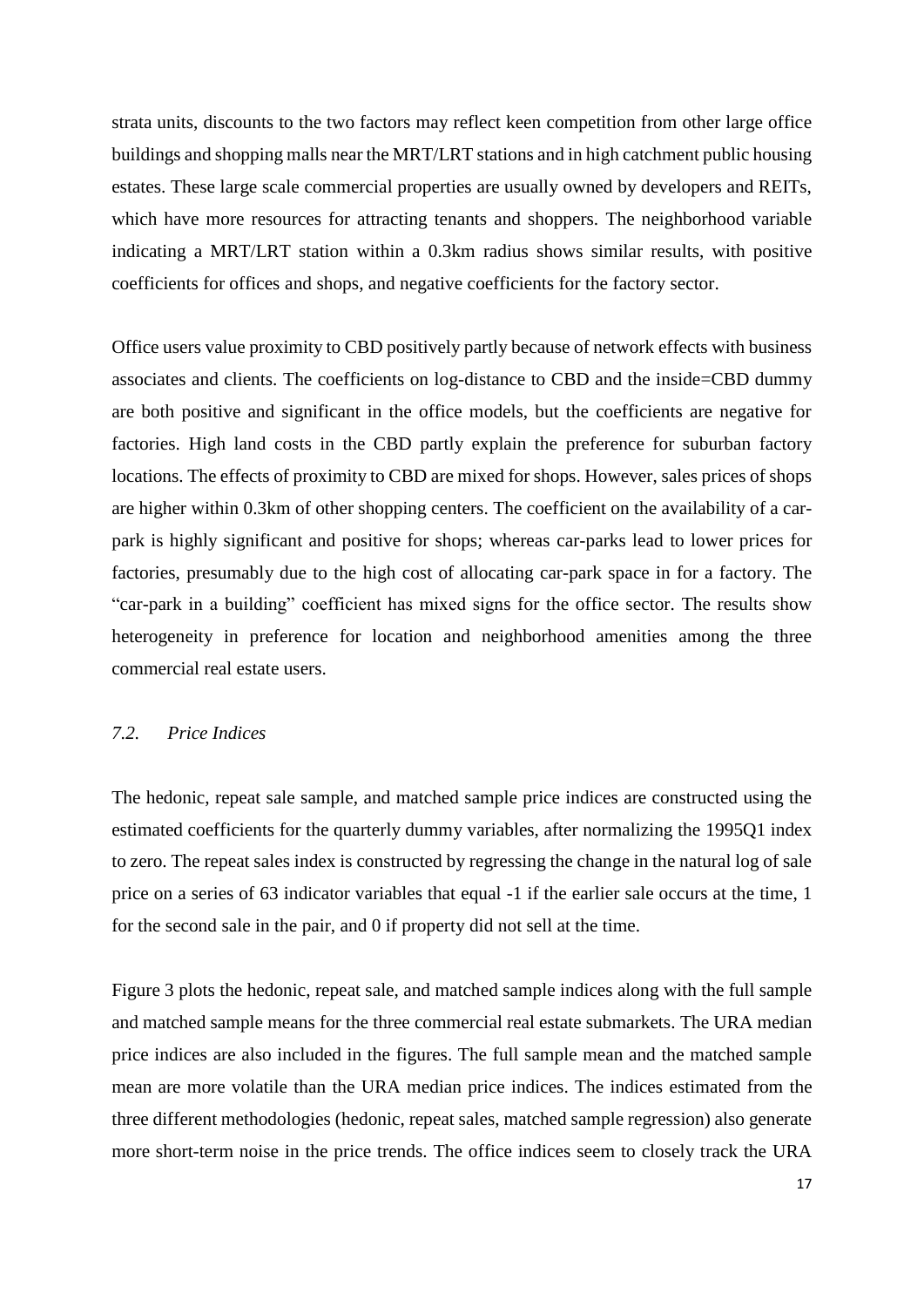strata units, discounts to the two factors may reflect keen competition from other large office buildings and shopping malls near the MRT/LRT stations and in high catchment public housing estates. These large scale commercial properties are usually owned by developers and REITs, which have more resources for attracting tenants and shoppers. The neighborhood variable indicating a MRT/LRT station within a 0.3km radius shows similar results, with positive coefficients for offices and shops, and negative coefficients for the factory sector.

Office users value proximity to CBD positively partly because of network effects with business associates and clients. The coefficients on log-distance to CBD and the inside=CBD dummy are both positive and significant in the office models, but the coefficients are negative for factories. High land costs in the CBD partly explain the preference for suburban factory locations. The effects of proximity to CBD are mixed for shops. However, sales prices of shops are higher within 0.3km of other shopping centers. The coefficient on the availability of a carpark is highly significant and positive for shops; whereas car-parks lead to lower prices for factories, presumably due to the high cost of allocating car-park space in for a factory. The "car-park in a building" coefficient has mixed signs for the office sector. The results show heterogeneity in preference for location and neighborhood amenities among the three commercial real estate users.

## *7.2. Price Indices*

The hedonic, repeat sale sample, and matched sample price indices are constructed using the estimated coefficients for the quarterly dummy variables, after normalizing the 1995Q1 index to zero. The repeat sales index is constructed by regressing the change in the natural log of sale price on a series of 63 indicator variables that equal -1 if the earlier sale occurs at the time, 1 for the second sale in the pair, and 0 if property did not sell at the time.

Figure 3 plots the hedonic, repeat sale, and matched sample indices along with the full sample and matched sample means for the three commercial real estate submarkets. The URA median price indices are also included in the figures. The full sample mean and the matched sample mean are more volatile than the URA median price indices. The indices estimated from the three different methodologies (hedonic, repeat sales, matched sample regression) also generate more short-term noise in the price trends. The office indices seem to closely track the URA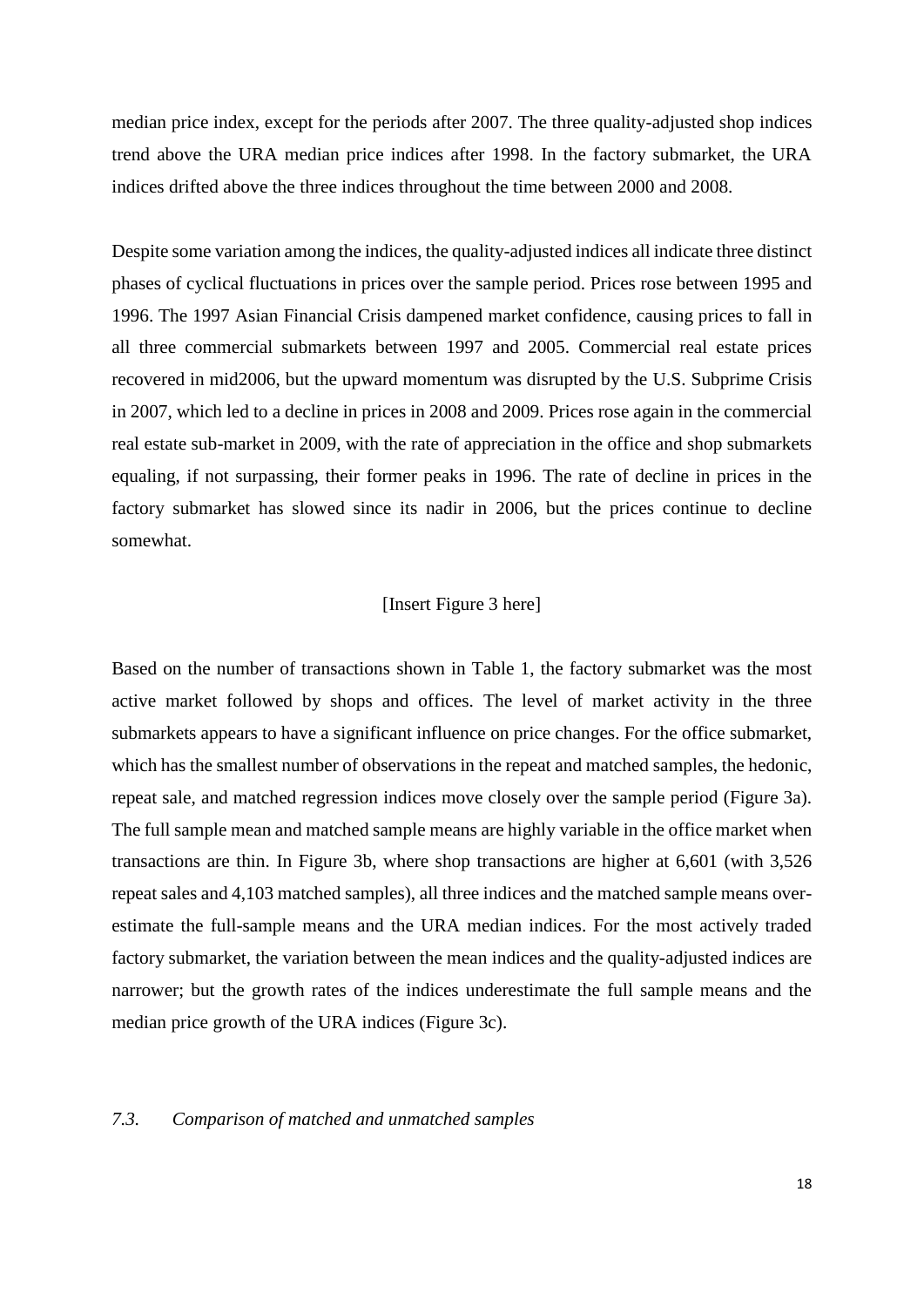median price index, except for the periods after 2007. The three quality-adjusted shop indices trend above the URA median price indices after 1998. In the factory submarket, the URA indices drifted above the three indices throughout the time between 2000 and 2008.

Despite some variation among the indices, the quality-adjusted indices all indicate three distinct phases of cyclical fluctuations in prices over the sample period. Prices rose between 1995 and 1996. The 1997 Asian Financial Crisis dampened market confidence, causing prices to fall in all three commercial submarkets between 1997 and 2005. Commercial real estate prices recovered in mid2006, but the upward momentum was disrupted by the U.S. Subprime Crisis in 2007, which led to a decline in prices in 2008 and 2009. Prices rose again in the commercial real estate sub-market in 2009, with the rate of appreciation in the office and shop submarkets equaling, if not surpassing, their former peaks in 1996. The rate of decline in prices in the factory submarket has slowed since its nadir in 2006, but the prices continue to decline somewhat.

## [Insert Figure 3 here]

Based on the number of transactions shown in Table 1, the factory submarket was the most active market followed by shops and offices. The level of market activity in the three submarkets appears to have a significant influence on price changes. For the office submarket, which has the smallest number of observations in the repeat and matched samples, the hedonic, repeat sale, and matched regression indices move closely over the sample period (Figure 3a). The full sample mean and matched sample means are highly variable in the office market when transactions are thin. In Figure 3b, where shop transactions are higher at 6,601 (with 3,526 repeat sales and 4,103 matched samples), all three indices and the matched sample means overestimate the full-sample means and the URA median indices. For the most actively traded factory submarket, the variation between the mean indices and the quality-adjusted indices are narrower; but the growth rates of the indices underestimate the full sample means and the median price growth of the URA indices (Figure 3c).

#### *7.3. Comparison of matched and unmatched samples*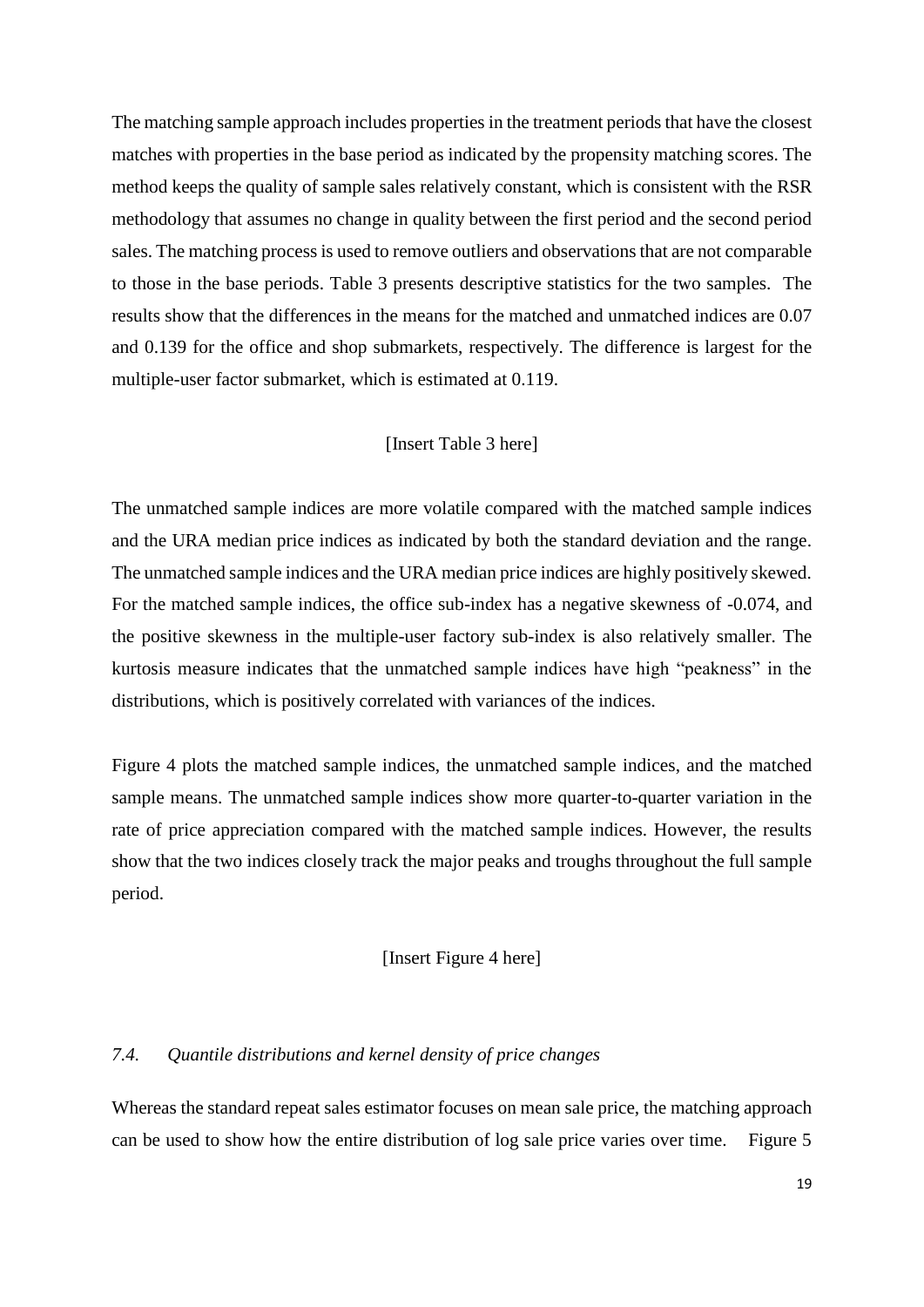The matching sample approach includes properties in the treatment periods that have the closest matches with properties in the base period as indicated by the propensity matching scores. The method keeps the quality of sample sales relatively constant, which is consistent with the RSR methodology that assumes no change in quality between the first period and the second period sales. The matching process is used to remove outliers and observations that are not comparable to those in the base periods. Table 3 presents descriptive statistics for the two samples. The results show that the differences in the means for the matched and unmatched indices are 0.07 and 0.139 for the office and shop submarkets, respectively. The difference is largest for the multiple-user factor submarket, which is estimated at 0.119.

# [Insert Table 3 here]

The unmatched sample indices are more volatile compared with the matched sample indices and the URA median price indices as indicated by both the standard deviation and the range. The unmatched sample indices and the URA median price indices are highly positively skewed. For the matched sample indices, the office sub-index has a negative skewness of -0.074, and the positive skewness in the multiple-user factory sub-index is also relatively smaller. The kurtosis measure indicates that the unmatched sample indices have high "peakness" in the distributions, which is positively correlated with variances of the indices.

Figure 4 plots the matched sample indices, the unmatched sample indices, and the matched sample means. The unmatched sample indices show more quarter-to-quarter variation in the rate of price appreciation compared with the matched sample indices. However, the results show that the two indices closely track the major peaks and troughs throughout the full sample period.

# [Insert Figure 4 here]

## *7.4. Quantile distributions and kernel density of price changes*

Whereas the standard repeat sales estimator focuses on mean sale price, the matching approach can be used to show how the entire distribution of log sale price varies over time. Figure 5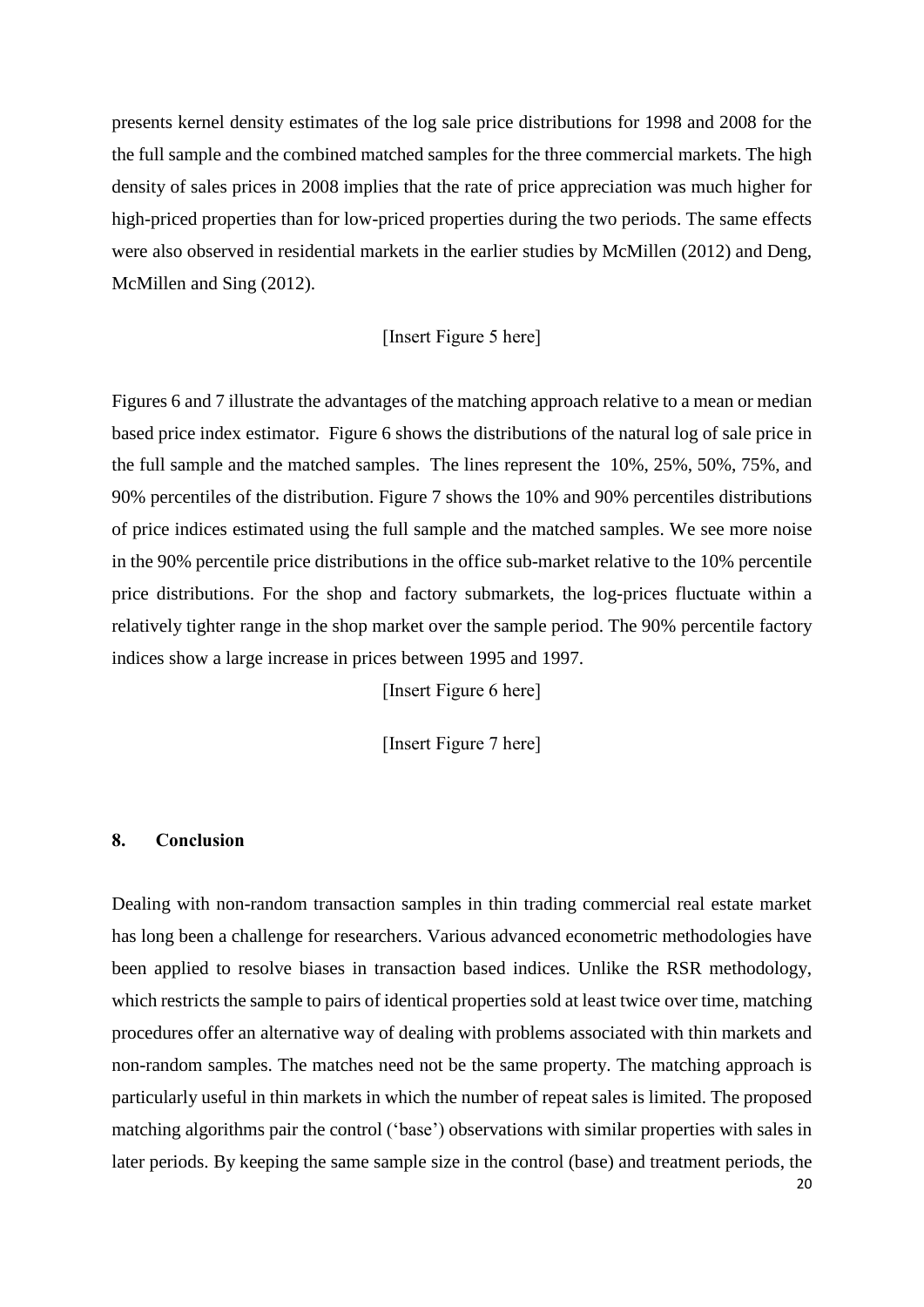presents kernel density estimates of the log sale price distributions for 1998 and 2008 for the the full sample and the combined matched samples for the three commercial markets. The high density of sales prices in 2008 implies that the rate of price appreciation was much higher for high-priced properties than for low-priced properties during the two periods. The same effects were also observed in residential markets in the earlier studies by McMillen (2012) and Deng, McMillen and Sing (2012).

# [Insert Figure 5 here]

Figures 6 and 7 illustrate the advantages of the matching approach relative to a mean or median based price index estimator. Figure 6 shows the distributions of the natural log of sale price in the full sample and the matched samples. The lines represent the 10%, 25%, 50%, 75%, and 90% percentiles of the distribution. Figure 7 shows the 10% and 90% percentiles distributions of price indices estimated using the full sample and the matched samples. We see more noise in the 90% percentile price distributions in the office sub-market relative to the 10% percentile price distributions. For the shop and factory submarkets, the log-prices fluctuate within a relatively tighter range in the shop market over the sample period. The 90% percentile factory indices show a large increase in prices between 1995 and 1997.

[Insert Figure 6 here]

[Insert Figure 7 here]

## **8. Conclusion**

Dealing with non-random transaction samples in thin trading commercial real estate market has long been a challenge for researchers. Various advanced econometric methodologies have been applied to resolve biases in transaction based indices. Unlike the RSR methodology, which restricts the sample to pairs of identical properties sold at least twice over time, matching procedures offer an alternative way of dealing with problems associated with thin markets and non-random samples. The matches need not be the same property. The matching approach is particularly useful in thin markets in which the number of repeat sales is limited. The proposed matching algorithms pair the control ('base') observations with similar properties with sales in later periods. By keeping the same sample size in the control (base) and treatment periods, the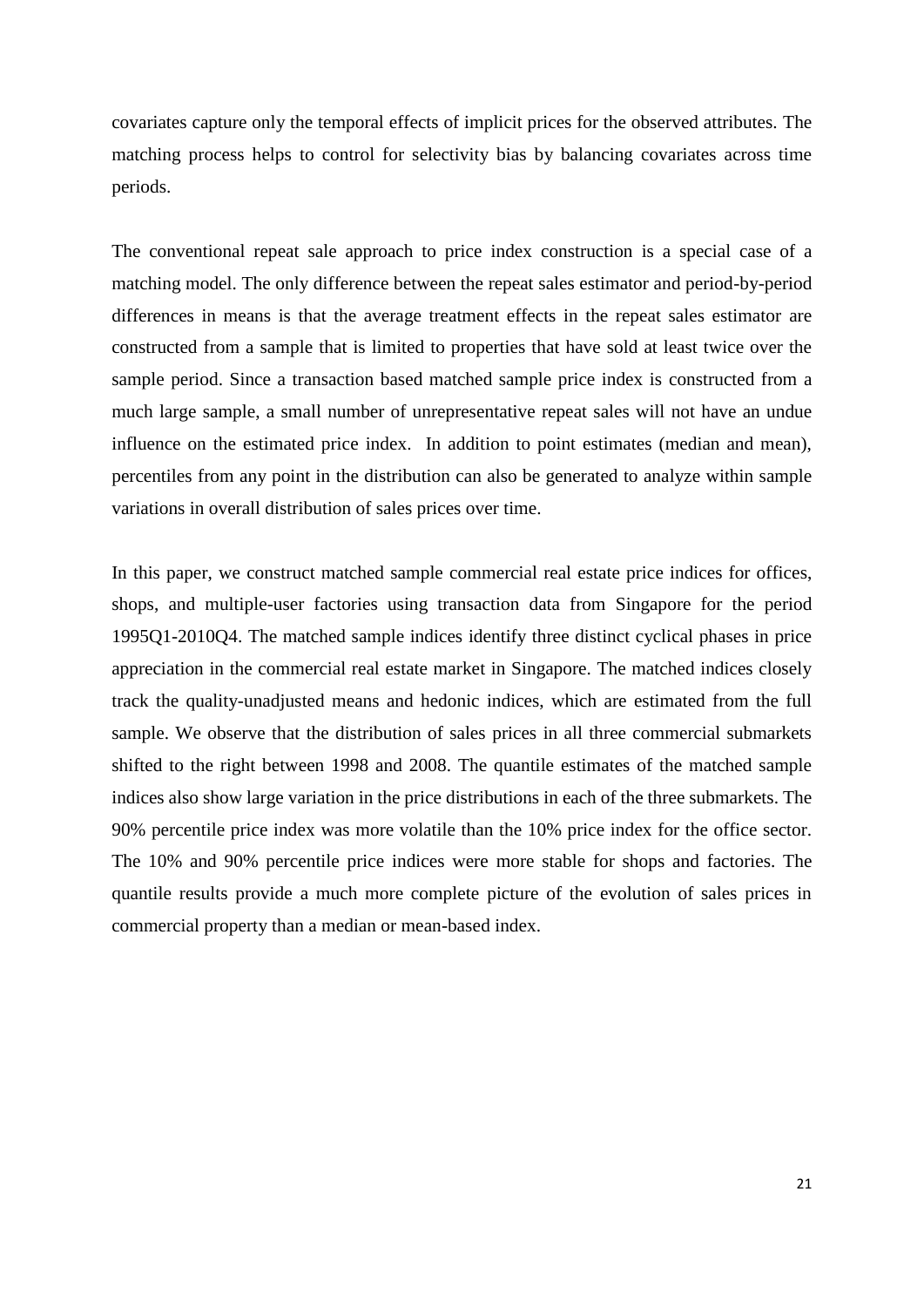covariates capture only the temporal effects of implicit prices for the observed attributes. The matching process helps to control for selectivity bias by balancing covariates across time periods.

The conventional repeat sale approach to price index construction is a special case of a matching model. The only difference between the repeat sales estimator and period-by-period differences in means is that the average treatment effects in the repeat sales estimator are constructed from a sample that is limited to properties that have sold at least twice over the sample period. Since a transaction based matched sample price index is constructed from a much large sample, a small number of unrepresentative repeat sales will not have an undue influence on the estimated price index. In addition to point estimates (median and mean), percentiles from any point in the distribution can also be generated to analyze within sample variations in overall distribution of sales prices over time.

In this paper, we construct matched sample commercial real estate price indices for offices, shops, and multiple-user factories using transaction data from Singapore for the period 1995Q1-2010Q4. The matched sample indices identify three distinct cyclical phases in price appreciation in the commercial real estate market in Singapore. The matched indices closely track the quality-unadjusted means and hedonic indices, which are estimated from the full sample. We observe that the distribution of sales prices in all three commercial submarkets shifted to the right between 1998 and 2008. The quantile estimates of the matched sample indices also show large variation in the price distributions in each of the three submarkets. The 90% percentile price index was more volatile than the 10% price index for the office sector. The 10% and 90% percentile price indices were more stable for shops and factories. The quantile results provide a much more complete picture of the evolution of sales prices in commercial property than a median or mean-based index.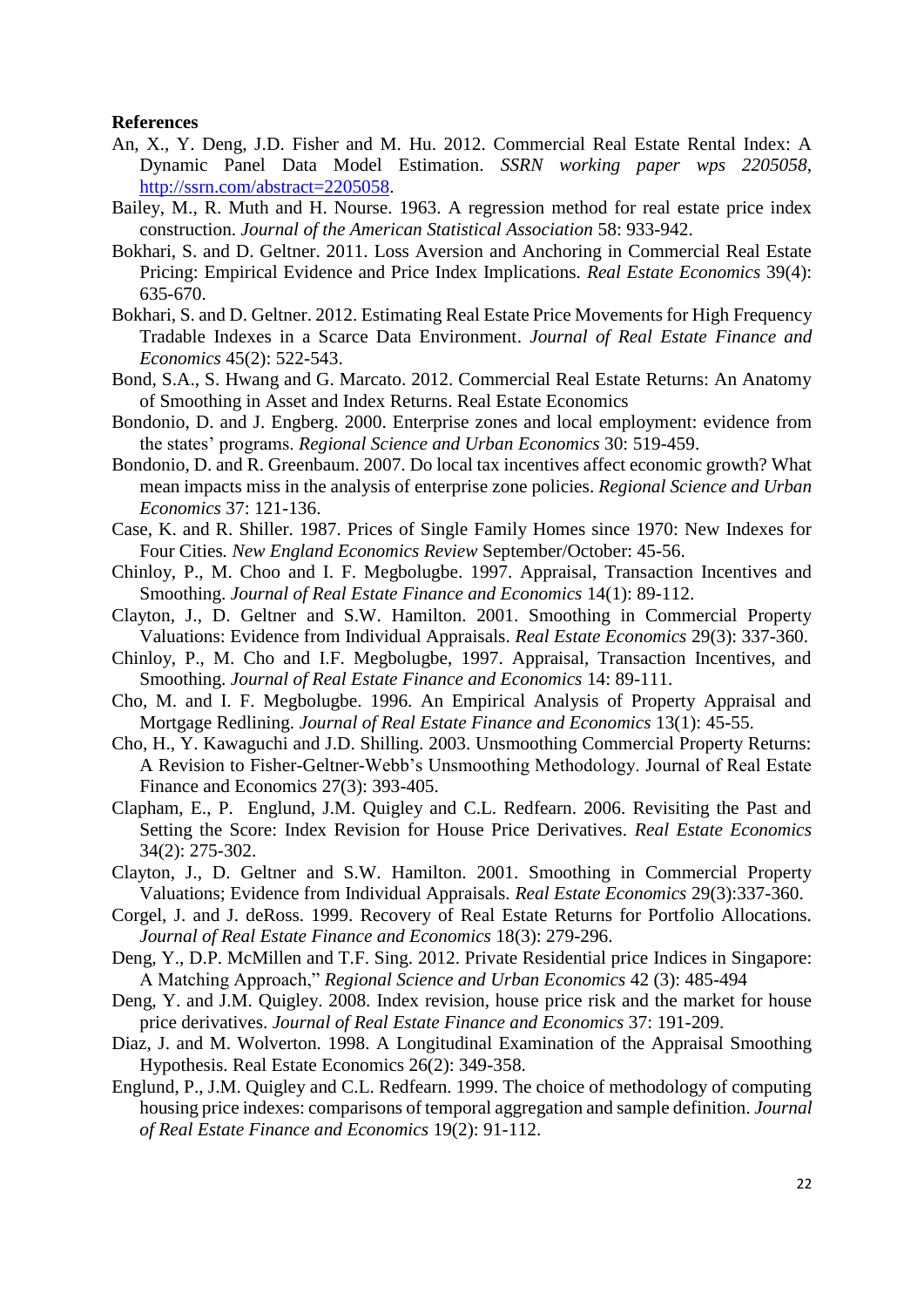#### **References**

- An, X., Y. Deng, J.D. Fisher and M. Hu. 2012. Commercial Real Estate Rental Index: A Dynamic Panel Data Model Estimation. *SSRN working paper wps 2205058*, [http://ssrn.com/abstract=2205058.](http://ssrn.com/abstract=2205058)
- Bailey, M., R. Muth and H. Nourse. 1963. A regression method for real estate price index construction. *Journal of the American Statistical Association* 58: 933-942.
- Bokhari, S. and D. Geltner. 2011. Loss Aversion and Anchoring in Commercial Real Estate Pricing: Empirical Evidence and Price Index Implications. *Real Estate Economics* 39(4): 635-670.
- Bokhari, S. and D. Geltner. 2012. Estimating Real Estate Price Movements for High Frequency Tradable Indexes in a Scarce Data Environment. *Journal of Real Estate Finance and Economics* 45(2): 522-543.
- Bond, S.A., S. Hwang and G. Marcato. 2012. Commercial Real Estate Returns: An Anatomy of Smoothing in Asset and Index Returns. Real Estate Economics
- Bondonio, D. and J. Engberg. 2000. Enterprise zones and local employment: evidence from the states' programs. *Regional Science and Urban Economics* 30: 519-459.
- Bondonio, D. and R. Greenbaum. 2007. Do local tax incentives affect economic growth? What mean impacts miss in the analysis of enterprise zone policies. *Regional Science and Urban Economics* 37: 121-136.
- Case, K. and R. Shiller. 1987. Prices of Single Family Homes since 1970: New Indexes for Four Cities*. New England Economics Review* September/October: 45-56.
- Chinloy, P., M. Choo and I. F. Megbolugbe. 1997. Appraisal, Transaction Incentives and Smoothing. *Journal of Real Estate Finance and Economics* 14(1): 89-112.
- Clayton, J., D. Geltner and S.W. Hamilton. 2001. Smoothing in Commercial Property Valuations: Evidence from Individual Appraisals. *Real Estate Economics* 29(3): 337-360.
- Chinloy, P., M. Cho and I.F. Megbolugbe, 1997. Appraisal, Transaction Incentives, and Smoothing. *Journal of Real Estate Finance and Economics* 14: 89-111.
- Cho, M. and I. F. Megbolugbe. 1996. An Empirical Analysis of Property Appraisal and Mortgage Redlining. *Journal of Real Estate Finance and Economics* 13(1): 45-55.
- Cho, H., Y. Kawaguchi and J.D. Shilling. 2003. Unsmoothing Commercial Property Returns: A Revision to Fisher-Geltner-Webb's Unsmoothing Methodology. Journal of Real Estate Finance and Economics 27(3): 393-405.
- Clapham, E., P. Englund, J.M. Quigley and C.L. Redfearn. 2006. Revisiting the Past and Setting the Score: Index Revision for House Price Derivatives. *Real Estate Economics* 34(2): 275-302.
- Clayton, J., D. Geltner and S.W. Hamilton. 2001. Smoothing in Commercial Property Valuations; Evidence from Individual Appraisals*. Real Estate Economics* 29(3):337-360.
- Corgel, J. and J. deRoss. 1999. Recovery of Real Estate Returns for Portfolio Allocations. *Journal of Real Estate Finance and Economics* 18(3): 279-296.
- Deng, Y., D.P. McMillen and T.F. Sing. 2012. Private Residential price Indices in Singapore: A Matching Approach," *Regional Science and Urban Economics* 42 (3): 485-494
- Deng, Y. and J.M. Quigley. 2008. Index revision, house price risk and the market for house price derivatives. *Journal of Real Estate Finance and Economics* 37: 191-209.
- Diaz, J. and M. Wolverton. 1998. A Longitudinal Examination of the Appraisal Smoothing Hypothesis. Real Estate Economics 26(2): 349-358.
- Englund, P., J.M. Quigley and C.L. Redfearn. 1999. The choice of methodology of computing housing price indexes: comparisons of temporal aggregation and sample definition. *Journal of Real Estate Finance and Economics* 19(2): 91-112.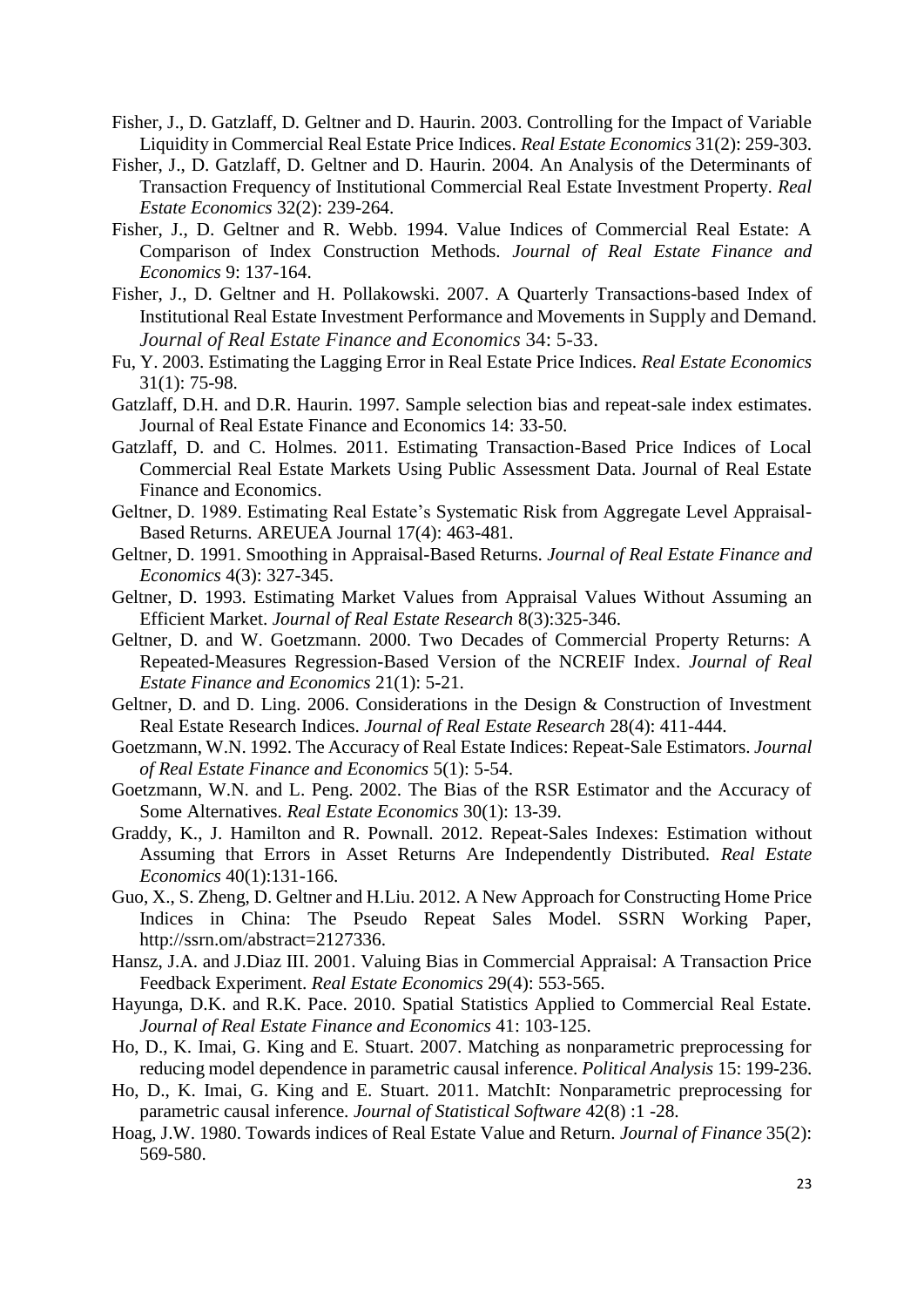- Fisher, J., D. Gatzlaff, D. Geltner and D. Haurin. 2003. Controlling for the Impact of Variable Liquidity in Commercial Real Estate Price Indices. *Real Estate Economics* 31(2): 259-303.
- Fisher, J., D. Gatzlaff, D. Geltner and D. Haurin. 2004. An Analysis of the Determinants of Transaction Frequency of Institutional Commercial Real Estate Investment Property. *Real Estate Economics* 32(2): 239-264.
- Fisher, J., D. Geltner and R. Webb. 1994. Value Indices of Commercial Real Estate: A Comparison of Index Construction Methods*. Journal of Real Estate Finance and Economics* 9: 137-164.
- Fisher, J., D. Geltner and H. Pollakowski. 2007. A Quarterly Transactions-based Index of Institutional Real Estate Investment Performance and Movements in Supply and Demand. *Journal of Real Estate Finance and Economics* 34: 5-33.
- Fu, Y. 2003. Estimating the Lagging Error in Real Estate Price Indices. *Real Estate Economics* 31(1): 75-98.
- Gatzlaff, D.H. and D.R. Haurin. 1997. Sample selection bias and repeat-sale index estimates. Journal of Real Estate Finance and Economics 14: 33-50.
- Gatzlaff, D. and C. Holmes. 2011. Estimating Transaction-Based Price Indices of Local Commercial Real Estate Markets Using Public Assessment Data. Journal of Real Estate Finance and Economics.
- Geltner, D. 1989. Estimating Real Estate's Systematic Risk from Aggregate Level Appraisal-Based Returns. AREUEA Journal 17(4): 463-481.
- Geltner, D. 1991. Smoothing in Appraisal-Based Returns. *Journal of Real Estate Finance and Economics* 4(3): 327-345.
- Geltner, D. 1993. Estimating Market Values from Appraisal Values Without Assuming an Efficient Market. *Journal of Real Estate Research* 8(3):325-346.
- Geltner, D. and W. Goetzmann. 2000. Two Decades of Commercial Property Returns: A Repeated-Measures Regression-Based Version of the NCREIF Index. *Journal of Real Estate Finance and Economics* 21(1): 5-21.
- Geltner, D. and D. Ling. 2006. Considerations in the Design & Construction of Investment Real Estate Research Indices. *Journal of Real Estate Research* 28(4): 411-444.
- Goetzmann, W.N. 1992. The Accuracy of Real Estate Indices: Repeat-Sale Estimators. *Journal of Real Estate Finance and Economics* 5(1): 5-54.
- Goetzmann, W.N. and L. Peng. 2002. The Bias of the RSR Estimator and the Accuracy of Some Alternatives. *Real Estate Economics* 30(1): 13-39.
- Graddy, K., J. Hamilton and R. Pownall. 2012. Repeat-Sales Indexes: Estimation without Assuming that Errors in Asset Returns Are Independently Distributed. *Real Estate Economics* 40(1):131-166.
- Guo, X., S. Zheng, D. Geltner and H.Liu. 2012. A New Approach for Constructing Home Price Indices in China: The Pseudo Repeat Sales Model. SSRN Working Paper, http://ssrn.om/abstract=2127336.
- Hansz, J.A. and J.Diaz III. 2001. Valuing Bias in Commercial Appraisal: A Transaction Price Feedback Experiment. *Real Estate Economics* 29(4): 553-565.
- Hayunga, D.K. and R.K. Pace. 2010. Spatial Statistics Applied to Commercial Real Estate. *Journal of Real Estate Finance and Economics* 41: 103-125.
- Ho, D., K. Imai, G. King and E. Stuart. 2007. Matching as nonparametric preprocessing for reducing model dependence in parametric causal inference. *Political Analysis* 15: 199-236.
- Ho, D., K. Imai, G. King and E. Stuart. 2011. MatchIt: Nonparametric preprocessing for parametric causal inference. *Journal of Statistical Software* 42(8) :1 -28.
- Hoag, J.W. 1980. Towards indices of Real Estate Value and Return. *Journal of Finance* 35(2): 569-580.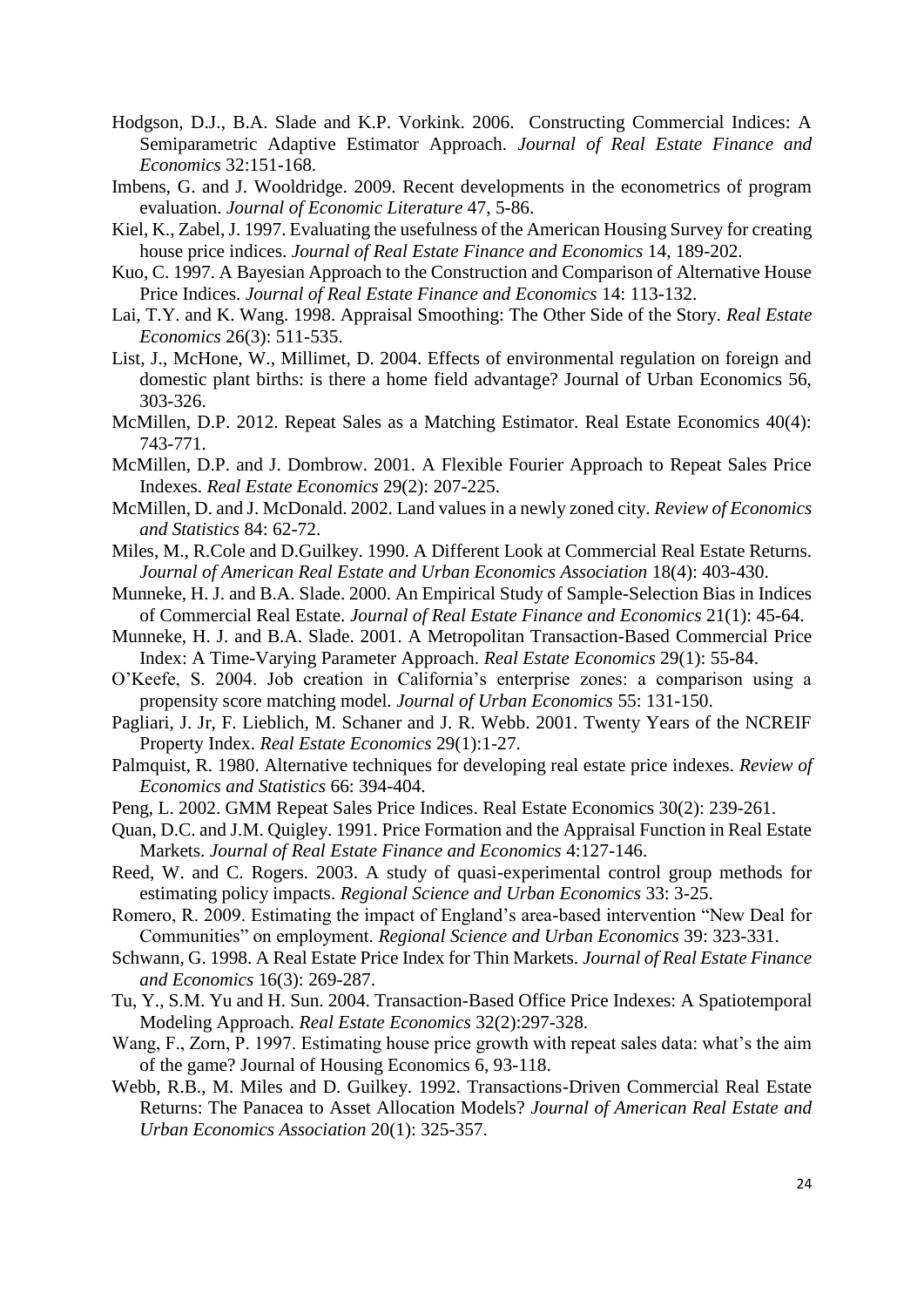- Hodgson, D.J., B.A. Slade and K.P. Vorkink. 2006. Constructing Commercial Indices: A Semiparametric Adaptive Estimator Approach. *Journal of Real Estate Finance and Economics* 32:151-168.
- Imbens, G. and J. Wooldridge. 2009. Recent developments in the econometrics of program evaluation. *Journal of Economic Literature* 47, 5-86.
- Kiel, K., Zabel, J. 1997. Evaluating the usefulness of the American Housing Survey for creating house price indices. *Journal of Real Estate Finance and Economics* 14, 189-202.
- Kuo, C. 1997. A Bayesian Approach to the Construction and Comparison of Alternative House Price Indices. *Journal of Real Estate Finance and Economics* 14: 113-132.
- Lai, T.Y. and K. Wang. 1998. Appraisal Smoothing: The Other Side of the Story. *Real Estate Economics* 26(3): 511-535.
- List, J., McHone, W., Millimet, D. 2004. Effects of environmental regulation on foreign and domestic plant births: is there a home field advantage? Journal of Urban Economics 56, 303-326.
- McMillen, D.P. 2012. Repeat Sales as a Matching Estimator. Real Estate Economics 40(4): 743-771.
- McMillen, D.P. and J. Dombrow. 2001. A Flexible Fourier Approach to Repeat Sales Price Indexes. *Real Estate Economics* 29(2): 207-225.
- McMillen, D. and J. McDonald. 2002. Land values in a newly zoned city. *Review of Economics and Statistics* 84: 62-72.
- Miles, M., R.Cole and D.Guilkey. 1990. A Different Look at Commercial Real Estate Returns. *Journal of American Real Estate and Urban Economics Association* 18(4): 403-430.
- Munneke, H. J. and B.A. Slade. 2000. An Empirical Study of Sample-Selection Bias in Indices of Commercial Real Estate. *Journal of Real Estate Finance and Economics* 21(1): 45-64.
- Munneke, H. J. and B.A. Slade. 2001. A Metropolitan Transaction-Based Commercial Price Index: A Time-Varying Parameter Approach. *Real Estate Economics* 29(1): 55-84.
- O'Keefe, S. 2004. Job creation in California's enterprise zones: a comparison using a propensity score matching model. *Journal of Urban Economics* 55: 131-150.
- Pagliari, J. Jr, F. Lieblich, M. Schaner and J. R. Webb. 2001. Twenty Years of the NCREIF Property Index. *Real Estate Economics* 29(1):1-27.
- Palmquist, R. 1980. Alternative techniques for developing real estate price indexes. *Review of Economics and Statistics* 66: 394-404.
- Peng, L. 2002. GMM Repeat Sales Price Indices. Real Estate Economics 30(2): 239-261.
- Quan, D.C. and J.M. Quigley. 1991. Price Formation and the Appraisal Function in Real Estate Markets. *Journal of Real Estate Finance and Economics* 4:127-146.
- Reed, W. and C. Rogers. 2003. A study of quasi-experimental control group methods for estimating policy impacts. *Regional Science and Urban Economics* 33: 3-25.
- Romero, R. 2009. Estimating the impact of England's area-based intervention "New Deal for Communities" on employment. *Regional Science and Urban Economics* 39: 323-331.
- Schwann, G. 1998. A Real Estate Price Index for Thin Markets. *Journal of Real Estate Finance and Economics* 16(3): 269-287.
- Tu, Y., S.M. Yu and H. Sun. 2004. Transaction-Based Office Price Indexes: A Spatiotemporal Modeling Approach. *Real Estate Economics* 32(2):297-328.
- Wang, F., Zorn, P. 1997. Estimating house price growth with repeat sales data: what's the aim of the game? Journal of Housing Economics 6, 93-118.
- Webb, R.B., M. Miles and D. Guilkey. 1992. Transactions-Driven Commercial Real Estate Returns: The Panacea to Asset Allocation Models? *Journal of American Real Estate and Urban Economics Association* 20(1): 325-357.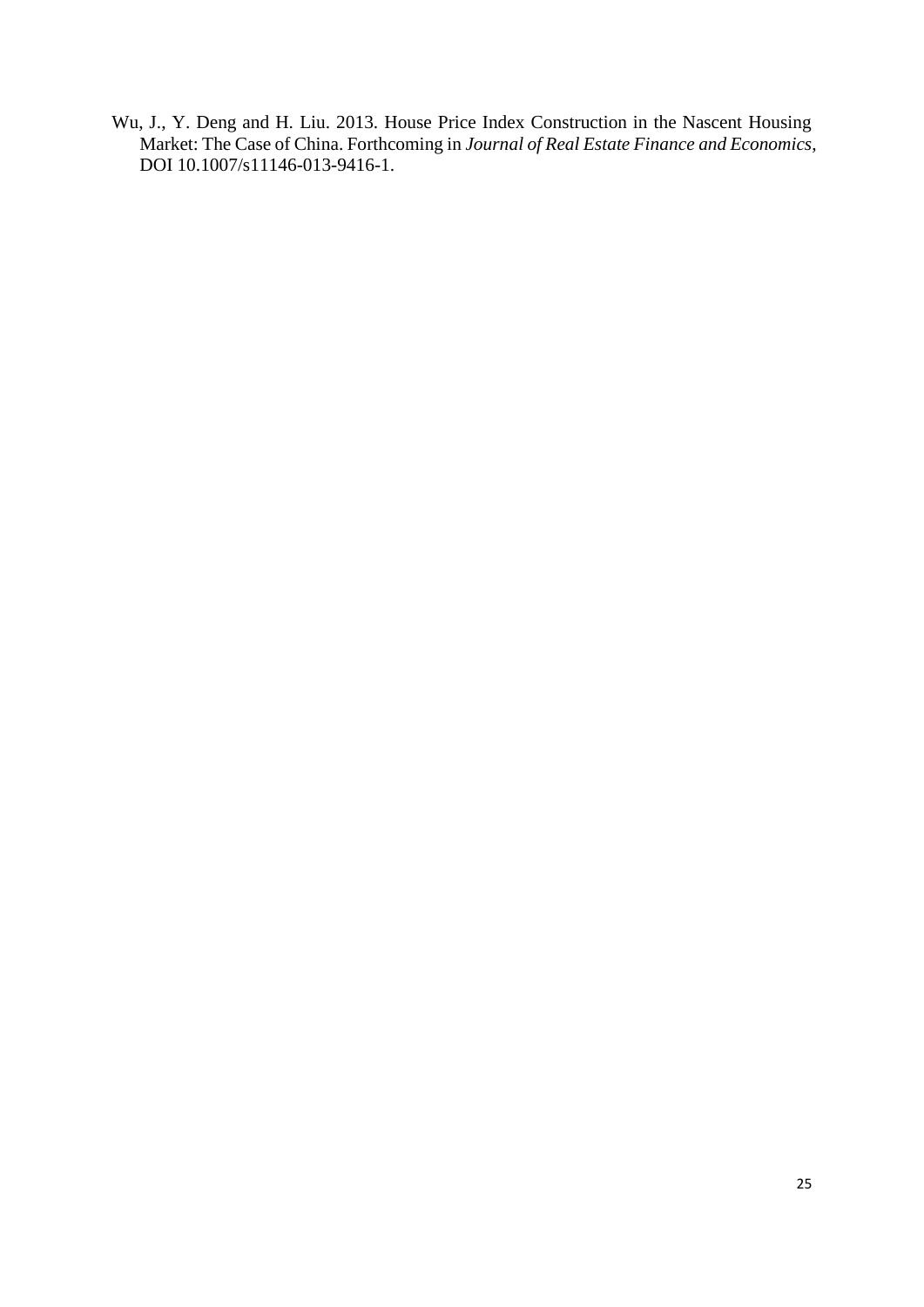Wu, J., Y. Deng and H. Liu. 2013. House Price Index Construction in the Nascent Housing Market: The Case of China. Forthcoming in *Journal of Real Estate Finance and Economics*, DOI 10.1007/s11146-013-9416-1.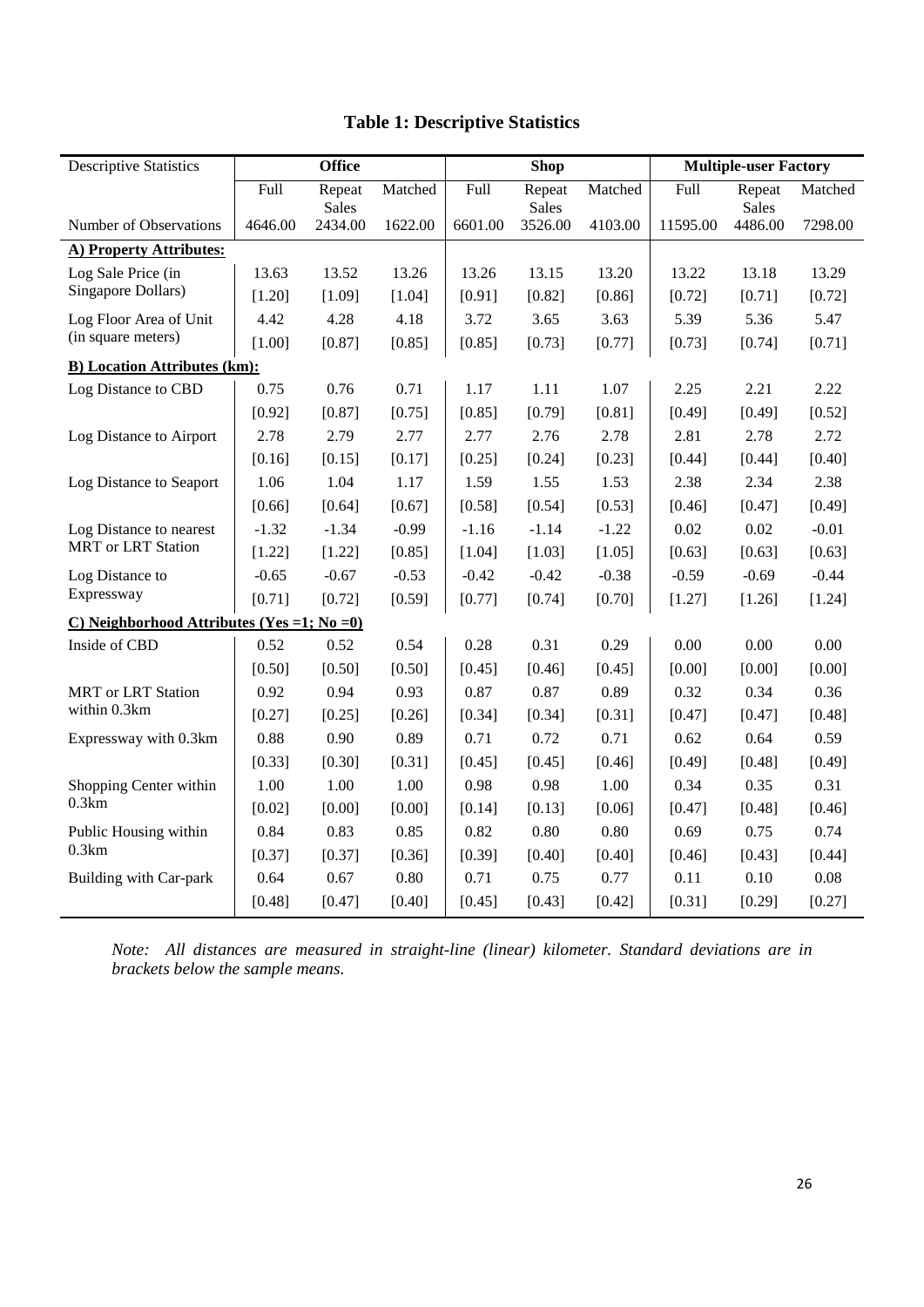| <b>Descriptive Statistics</b>                        | <b>Office</b> |                        |         |         | <b>Shop</b>            |         | <b>Multiple-user Factory</b> |                        |         |  |
|------------------------------------------------------|---------------|------------------------|---------|---------|------------------------|---------|------------------------------|------------------------|---------|--|
|                                                      | Full          | Repeat<br><b>Sales</b> | Matched | Full    | Repeat<br><b>Sales</b> | Matched | Full                         | Repeat<br><b>Sales</b> | Matched |  |
| Number of Observations                               | 4646.00       | 2434.00                | 1622.00 | 6601.00 | 3526.00                | 4103.00 | 11595.00                     | 4486.00                | 7298.00 |  |
| A) Property Attributes:                              |               |                        |         |         |                        |         |                              |                        |         |  |
| Log Sale Price (in                                   | 13.63         | 13.52                  | 13.26   | 13.26   | 13.15                  | 13.20   | 13.22                        | 13.18                  | 13.29   |  |
| Singapore Dollars)                                   | [1.20]        | [1.09]                 | [1.04]  | [0.91]  | [0.82]                 | [0.86]  | [0.72]                       | [0.71]                 | [0.72]  |  |
| Log Floor Area of Unit                               | 4.42          | 4.28                   | 4.18    | 3.72    | 3.65                   | 3.63    | 5.39                         | 5.36                   | 5.47    |  |
| (in square meters)                                   | [1.00]        | [0.87]                 | [0.85]  | [0.85]  | [0.73]                 | [0.77]  | [0.73]                       | [0.74]                 | [0.71]  |  |
| <b>B)</b> Location Attributes (km):                  |               |                        |         |         |                        |         |                              |                        |         |  |
| Log Distance to CBD                                  | 0.75          | 0.76                   | 0.71    | 1.17    | 1.11                   | 1.07    | 2.25                         | 2.21                   | 2.22    |  |
|                                                      | [0.92]        | [0.87]                 | [0.75]  | [0.85]  | [0.79]                 | [0.81]  | [0.49]                       | [0.49]                 | [0.52]  |  |
| Log Distance to Airport                              | 2.78          | 2.79                   | 2.77    | 2.77    | 2.76                   | 2.78    | 2.81                         | 2.78                   | 2.72    |  |
|                                                      | [0.16]        | [0.15]                 | [0.17]  | [0.25]  | [0.24]                 | [0.23]  | [0.44]                       | [0.44]                 | [0.40]  |  |
| Log Distance to Seaport                              | 1.06          | 1.04                   | 1.17    | 1.59    | 1.55                   | 1.53    | 2.38                         | 2.34                   | 2.38    |  |
|                                                      | [0.66]        | [0.64]                 | [0.67]  | [0.58]  | [0.54]                 | [0.53]  | [0.46]                       | [0.47]                 | [0.49]  |  |
| Log Distance to nearest<br><b>MRT</b> or LRT Station | $-1.32$       | $-1.34$                | $-0.99$ | $-1.16$ | $-1.14$                | $-1.22$ | 0.02                         | 0.02                   | $-0.01$ |  |
|                                                      | [1.22]        | [1.22]                 | [0.85]  | [1.04]  | [1.03]                 | [1.05]  | [0.63]                       | [0.63]                 | [0.63]  |  |
| Log Distance to                                      | $-0.65$       | $-0.67$                | $-0.53$ | $-0.42$ | $-0.42$                | $-0.38$ | $-0.59$                      | $-0.69$                | $-0.44$ |  |
| Expressway                                           | [0.71]        | [0.72]                 | [0.59]  | [0.77]  | [0.74]                 | [0.70]  | [1.27]                       | [1.26]                 | [1.24]  |  |
| C) Neighborhood Attributes (Yes = 1; No = 0)         |               |                        |         |         |                        |         |                              |                        |         |  |
| Inside of CBD                                        | 0.52          | 0.52                   | 0.54    | 0.28    | 0.31                   | 0.29    | 0.00                         | 0.00                   | 0.00    |  |
|                                                      | [0.50]        | [0.50]                 | [0.50]  | [0.45]  | [0.46]                 | [0.45]  | [0.00]                       | [0.00]                 | [0.00]  |  |
| <b>MRT</b> or LRT Station                            | 0.92          | 0.94                   | 0.93    | 0.87    | 0.87                   | 0.89    | 0.32                         | 0.34                   | 0.36    |  |
| within 0.3km                                         | [0.27]        | [0.25]                 | [0.26]  | [0.34]  | [0.34]                 | [0.31]  | [0.47]                       | [0.47]                 | [0.48]  |  |
| Expressway with 0.3km                                | 0.88          | 0.90                   | 0.89    | 0.71    | 0.72                   | 0.71    | 0.62                         | 0.64                   | 0.59    |  |
|                                                      | [0.33]        | [0.30]                 | [0.31]  | [0.45]  | [0.45]                 | [0.46]  | [0.49]                       | [0.48]                 | [0.49]  |  |
| Shopping Center within<br>0.3km                      | 1.00          | 1.00                   | 1.00    | 0.98    | 0.98                   | 1.00    | 0.34                         | 0.35                   | 0.31    |  |
|                                                      | [0.02]        | [0.00]                 | [0.00]  | [0.14]  | [0.13]                 | [0.06]  | [0.47]                       | [0.48]                 | [0.46]  |  |
| Public Housing within<br>0.3km                       | 0.84          | 0.83                   | 0.85    | 0.82    | 0.80                   | 0.80    | 0.69                         | 0.75                   | 0.74    |  |
|                                                      | [0.37]        | [0.37]                 | [0.36]  | [0.39]  | [0.40]                 | [0.40]  | [0.46]                       | [0.43]                 | [0.44]  |  |
| Building with Car-park                               | 0.64          | 0.67                   | 0.80    | 0.71    | 0.75                   | 0.77    | 0.11                         | 0.10                   | 0.08    |  |
|                                                      | [0.48]        | [0.47]                 | [0.40]  | [0.45]  | [0.43]                 | [0.42]  | [0.31]                       | [0.29]                 | [0.27]  |  |

# **Table 1: Descriptive Statistics**

*Note: All distances are measured in straight-line (linear) kilometer. Standard deviations are in brackets below the sample means.*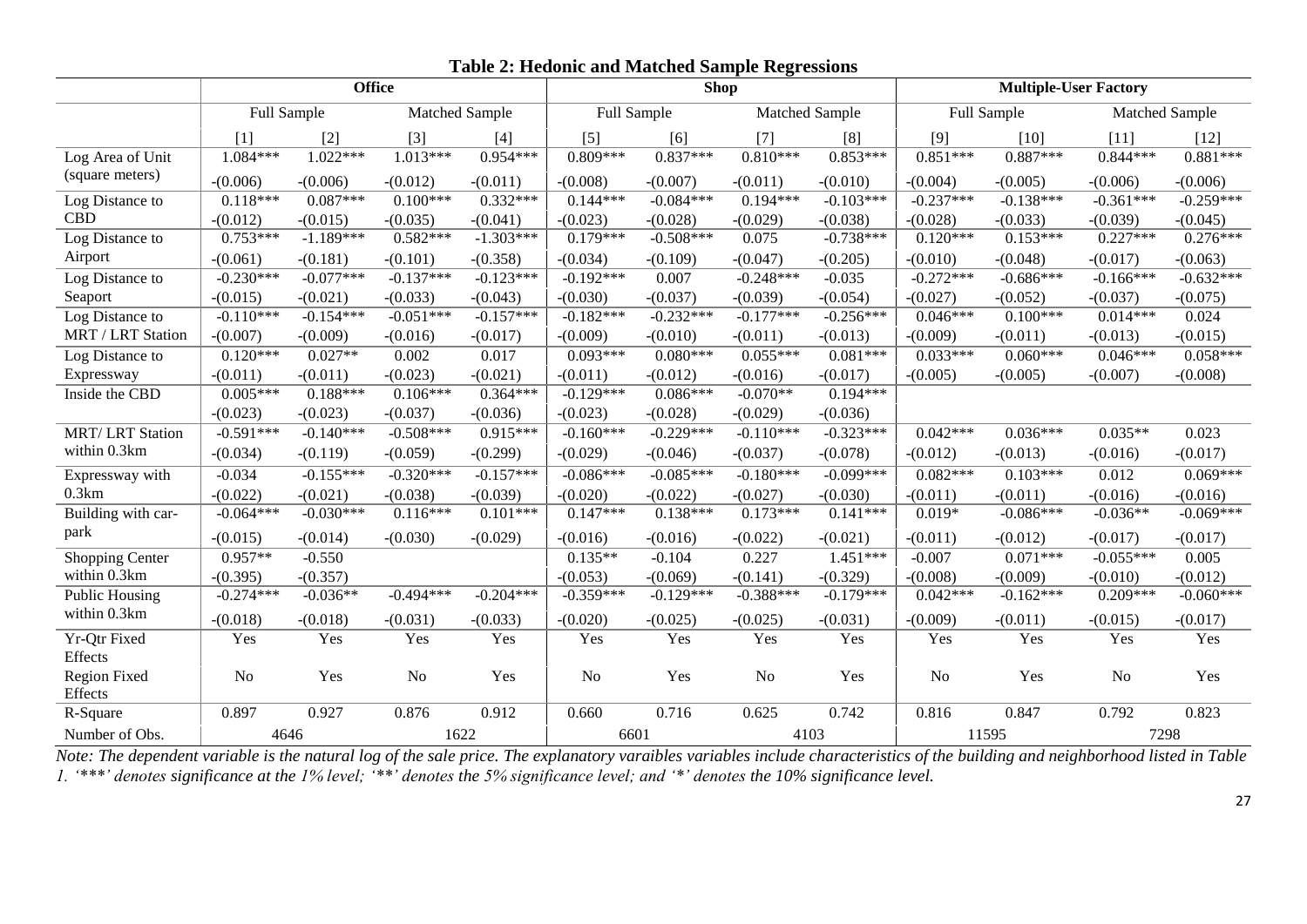|                          | <b>Office</b>  |             |                |             | <b>Shop</b>       |             |                |             | <b>Multiple-User Factory</b> |             |                |             |
|--------------------------|----------------|-------------|----------------|-------------|-------------------|-------------|----------------|-------------|------------------------------|-------------|----------------|-------------|
|                          | Full Sample    |             | Matched Sample |             | Full Sample       |             | Matched Sample |             | Full Sample                  |             | Matched Sample |             |
|                          | [1]            | $[2]$       | $[3]$          | $[4]$       | $\lceil 5 \rceil$ | [6]         | [7]            | [8]         | [9]                          | $[10]$      | $[11]$         | $[12]$      |
| Log Area of Unit         | 1.084***       | $1.022***$  | $1.013***$     | $0.954***$  | $0.809***$        | $0.837***$  | $0.810***$     | $0.853***$  | $0.851***$                   | $0.887***$  | $0.844***$     | $0.881***$  |
| (square meters)          | $-(0.006)$     | $-(0.006)$  | $-(0.012)$     | $-(0.011)$  | $-(0.008)$        | $-(0.007)$  | $-(0.011)$     | $-(0.010)$  | $-(0.004)$                   | $-(0.005)$  | $-(0.006)$     | $-(0.006)$  |
| Log Distance to          | $0.118***$     | $0.087***$  | $0.100***$     | $0.332***$  | $0.144***$        | $-0.084***$ | $0.194***$     | $-0.103***$ | $-0.237***$                  | $-0.138***$ | $-0.361***$    | $-0.259***$ |
| <b>CBD</b>               | $-(0.012)$     | $-(0.015)$  | $-(0.035)$     | $-(0.041)$  | $-(0.023)$        | $-(0.028)$  | $-(0.029)$     | $-(0.038)$  | $-(0.028)$                   | $-(0.033)$  | $-(0.039)$     | $-(0.045)$  |
| Log Distance to          | $0.753***$     | $-1.189***$ | $0.582***$     | $-1.303***$ | $0.179***$        | $-0.508***$ | 0.075          | $-0.738***$ | $0.120***$                   | $0.153***$  | $0.227***$     | $0.276***$  |
| Airport                  | $-(0.061)$     | $-(0.181)$  | $-(0.101)$     | $-(0.358)$  | $-(0.034)$        | $-(0.109)$  | $-(0.047)$     | $-(0.205)$  | $-(0.010)$                   | $-(0.048)$  | $-(0.017)$     | $-(0.063)$  |
| Log Distance to          | $-0.230***$    | $-0.077***$ | $-0.137***$    | $-0.123***$ | $-0.192***$       | 0.007       | $-0.248***$    | $-0.035$    | $-0.272***$                  | $-0.686***$ | $-0.166***$    | $-0.632***$ |
| Seaport                  | $-(0.015)$     | $-(0.021)$  | $-(0.033)$     | $-(0.043)$  | $-(0.030)$        | $-(0.037)$  | $-(0.039)$     | $-(0.054)$  | $-(0.027)$                   | $-(0.052)$  | $-(0.037)$     | $-(0.075)$  |
| Log Distance to          | $-0.110***$    | $-0.154***$ | $-0.051***$    | $-0.157***$ | $-0.182***$       | $-0.232***$ | $-0.177***$    | $-0.256***$ | $0.046***$                   | $0.100***$  | $0.014***$     | 0.024       |
| <b>MRT / LRT Station</b> | $-(0.007)$     | $-(0.009)$  | $-(0.016)$     | $-(0.017)$  | $-(0.009)$        | $-(0.010)$  | $-(0.011)$     | $-(0.013)$  | $-(0.009)$                   | $-(0.011)$  | $-(0.013)$     | $-(0.015)$  |
| Log Distance to          | $0.120***$     | $0.027**$   | 0.002          | 0.017       | $0.093***$        | $0.080***$  | $0.055***$     | $0.081***$  | $0.033***$                   | $0.060***$  | $0.046***$     | $0.058***$  |
| Expressway               | $-(0.011)$     | $-(0.011)$  | $-(0.023)$     | $-(0.021)$  | $-(0.011)$        | $-(0.012)$  | $-(0.016)$     | $-(0.017)$  | $-(0.005)$                   | $-(0.005)$  | $-(0.007)$     | $-(0.008)$  |
| Inside the CBD           | $0.005***$     | $0.188***$  | $0.106***$     | $0.364***$  | $-0.129***$       | $0.086***$  | $-0.070**$     | $0.194***$  |                              |             |                |             |
|                          | $-(0.023)$     | $-(0.023)$  | $-(0.037)$     | $-(0.036)$  | $-(0.023)$        | $-(0.028)$  | $-(0.029)$     | $-(0.036)$  |                              |             |                |             |
| <b>MRT/LRT</b> Station   | $-0.591***$    | $-0.140***$ | $-0.508***$    | $0.915***$  | $-0.160***$       | $-0.229***$ | $-0.110***$    | $-0.323***$ | $0.042***$                   | $0.036***$  | $0.035**$      | 0.023       |
| within 0.3km             | $-(0.034)$     | $-(0.119)$  | $-(0.059)$     | $-(0.299)$  | $-(0.029)$        | $-(0.046)$  | $-(0.037)$     | $-(0.078)$  | $-(0.012)$                   | $-(0.013)$  | $-(0.016)$     | $-(0.017)$  |
| Expressway with          | $-0.034$       | $-0.155***$ | $-0.320***$    | $-0.157***$ | $-0.086***$       | $-0.085***$ | $-0.180***$    | $-0.099***$ | $0.082***$                   | $0.103***$  | 0.012          | $0.069***$  |
| 0.3km                    | $-(0.022)$     | $-(0.021)$  | $-(0.038)$     | $-(0.039)$  | $-(0.020)$        | $-(0.022)$  | $-(0.027)$     | $-(0.030)$  | $-(0.011)$                   | $-(0.011)$  | $-(0.016)$     | $-(0.016)$  |
| Building with car-       | $-0.064***$    | $-0.030***$ | $0.116***$     | $0.101***$  | $0.147***$        | $0.138***$  | $0.173***$     | $0.141***$  | $0.019*$                     | $-0.086***$ | $-0.036**$     | $-0.069***$ |
| park                     | $-(0.015)$     | $-(0.014)$  | $-(0.030)$     | $-(0.029)$  | $-(0.016)$        | $-(0.016)$  | $-(0.022)$     | $-(0.021)$  | $-(0.011)$                   | $-(0.012)$  | $-(0.017)$     | $-(0.017)$  |
| Shopping Center          | $0.957**$      | $-0.550$    |                |             | $0.135**$         | $-0.104$    | 0.227          | $1.451***$  | $-0.007$                     | $0.071***$  | $-0.055***$    | 0.005       |
| within 0.3km             | $-(0.395)$     | $-(0.357)$  |                |             | $-(0.053)$        | $-(0.069)$  | $-(0.141)$     | $-(0.329)$  | $-(0.008)$                   | $-(0.009)$  | $-(0.010)$     | $-(0.012)$  |
| <b>Public Housing</b>    | $-0.274***$    | $-0.036**$  | $-0.494***$    | $-0.204***$ | $-0.359***$       | $-0.129***$ | $-0.388***$    | $-0.179***$ | $0.042***$                   | $-0.162***$ | $0.209***$     | $-0.060***$ |
| within 0.3km             | $-(0.018)$     | $-(0.018)$  | $-(0.031)$     | $-(0.033)$  | $-(0.020)$        | $-(0.025)$  | $-(0.025)$     | $-(0.031)$  | $-(0.009)$                   | $-(0.011)$  | $-(0.015)$     | $-(0.017)$  |
| Yr-Qtr Fixed<br>Effects  | Yes            | Yes         | Yes            | Yes         | Yes               | Yes         | Yes            | Yes         | Yes                          | Yes         | Yes            | Yes         |
| Region Fixed<br>Effects  | N <sub>o</sub> | Yes         | N <sub>o</sub> | Yes         | N <sub>o</sub>    | Yes         | No             | Yes         | N <sub>o</sub>               | Yes         | No             | Yes         |
| R-Square                 | 0.897          | 0.927       | 0.876          | 0.912       | 0.660             | 0.716       | 0.625          | 0.742       | 0.816                        | 0.847       | 0.792          | 0.823       |
| Number of Obs.           | 4646           |             | 1622           |             | 6601              |             | 4103           |             | 11595                        |             | 7298           |             |

**Table 2: Hedonic and Matched Sample Regressions**

*Note: The dependent variable is the natural log of the sale price. The explanatory varaibles variables include characteristics of the building and neighborhood listed in Table 1. '\*\*\*' denotes significance at the 1% level; '\*\*' denotes the 5% significance level; and '\*' denotes the 10% significance level.*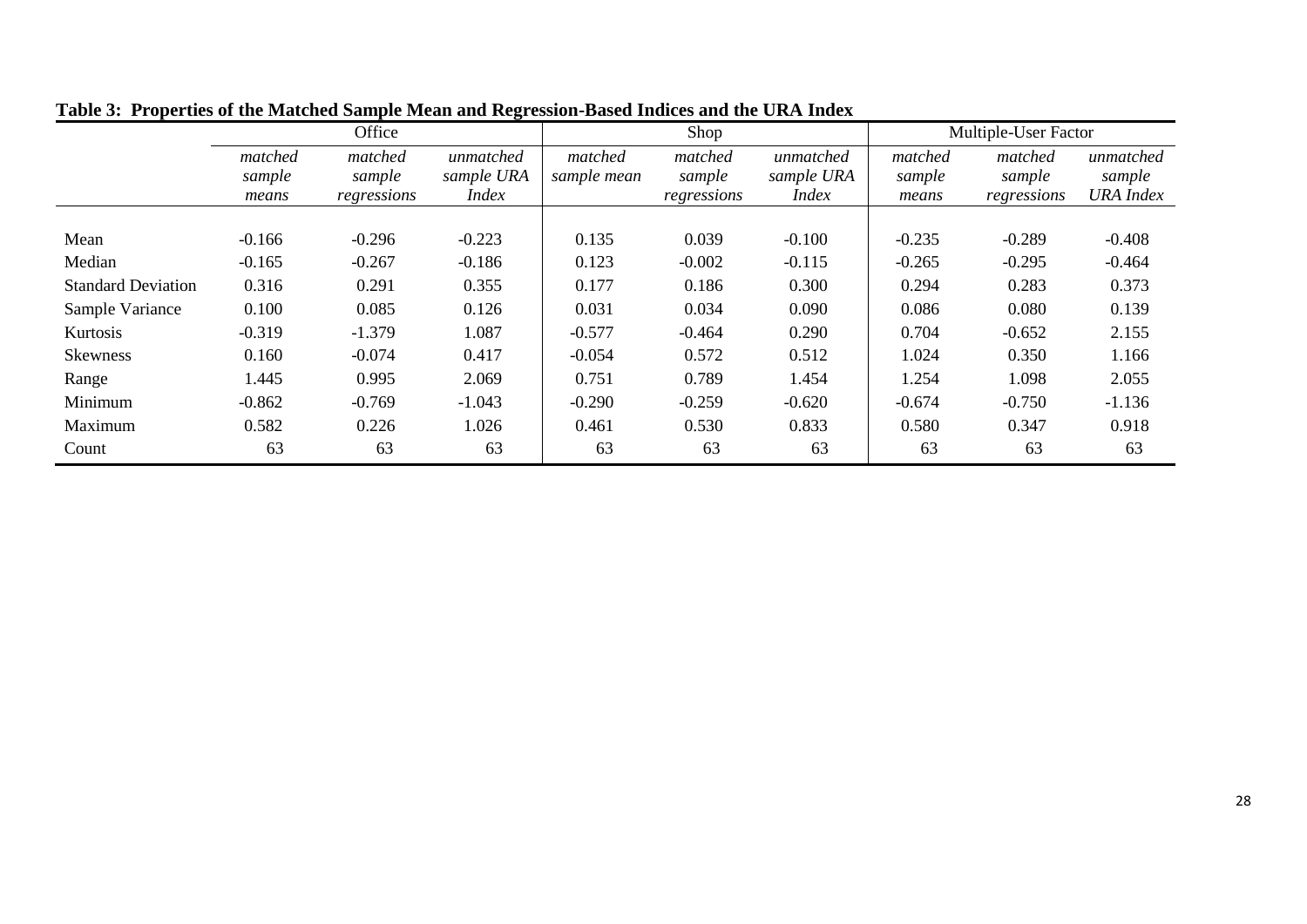|                           |                   | Office            |                         |                        | Shop              |                         | <b>Multiple-User Factor</b> |                   |                     |  |
|---------------------------|-------------------|-------------------|-------------------------|------------------------|-------------------|-------------------------|-----------------------------|-------------------|---------------------|--|
|                           | matched<br>sample | matched<br>sample | unmatched<br>sample URA | matched<br>sample mean | matched<br>sample | unmatched<br>sample URA | matched<br>sample           | matched<br>sample | unmatched<br>sample |  |
|                           | means             | regressions       | <i>Index</i>            |                        | regressions       | <i>Index</i>            | means                       | regressions       | <b>URA</b> Index    |  |
| Mean                      | $-0.166$          | $-0.296$          | $-0.223$                | 0.135                  | 0.039             | $-0.100$                | $-0.235$                    | $-0.289$          | $-0.408$            |  |
| Median                    | $-0.165$          | $-0.267$          | $-0.186$                | 0.123                  | $-0.002$          | $-0.115$                | $-0.265$                    | $-0.295$          | $-0.464$            |  |
| <b>Standard Deviation</b> | 0.316             | 0.291             | 0.355                   | 0.177                  | 0.186             | 0.300                   | 0.294                       | 0.283             | 0.373               |  |
| Sample Variance           | 0.100             | 0.085             | 0.126                   | 0.031                  | 0.034             | 0.090                   | 0.086                       | 0.080             | 0.139               |  |
| Kurtosis                  | $-0.319$          | $-1.379$          | 1.087                   | $-0.577$               | $-0.464$          | 0.290                   | 0.704                       | $-0.652$          | 2.155               |  |
| <b>Skewness</b>           | 0.160             | $-0.074$          | 0.417                   | $-0.054$               | 0.572             | 0.512                   | 1.024                       | 0.350             | 1.166               |  |
| Range                     | 1.445             | 0.995             | 2.069                   | 0.751                  | 0.789             | 1.454                   | 1.254                       | 1.098             | 2.055               |  |
| Minimum                   | $-0.862$          | $-0.769$          | $-1.043$                | $-0.290$               | $-0.259$          | $-0.620$                | $-0.674$                    | $-0.750$          | $-1.136$            |  |
| Maximum                   | 0.582             | 0.226             | 1.026                   | 0.461                  | 0.530             | 0.833                   | 0.580                       | 0.347             | 0.918               |  |
| Count                     | 63                | 63                | 63                      | 63                     | 63                | 63                      | 63                          | 63                | 63                  |  |

**Table 3: Properties of the Matched Sample Mean and Regression-Based Indices and the URA Index**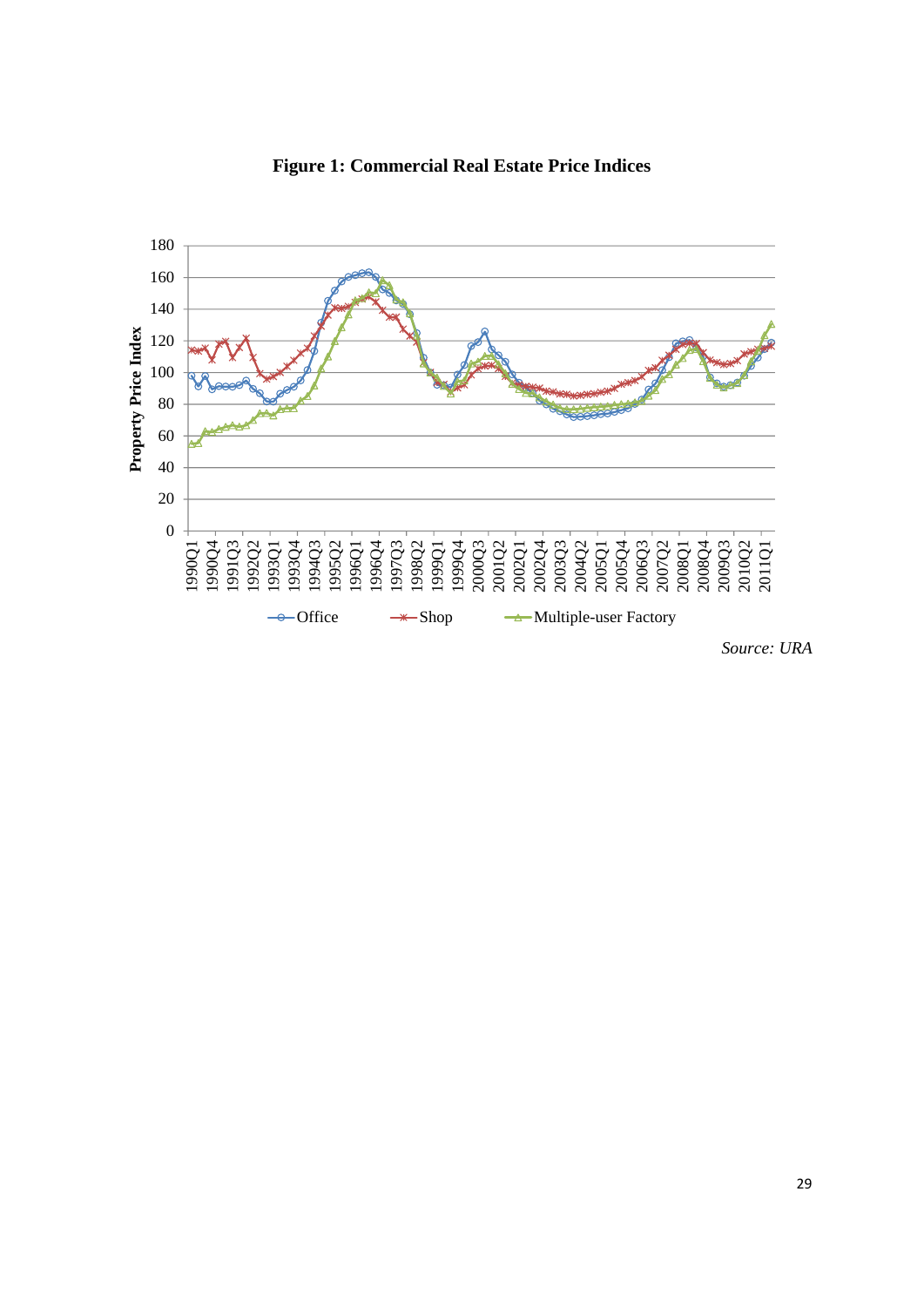

**Figure 1: Commercial Real Estate Price Indices**

*Source: URA*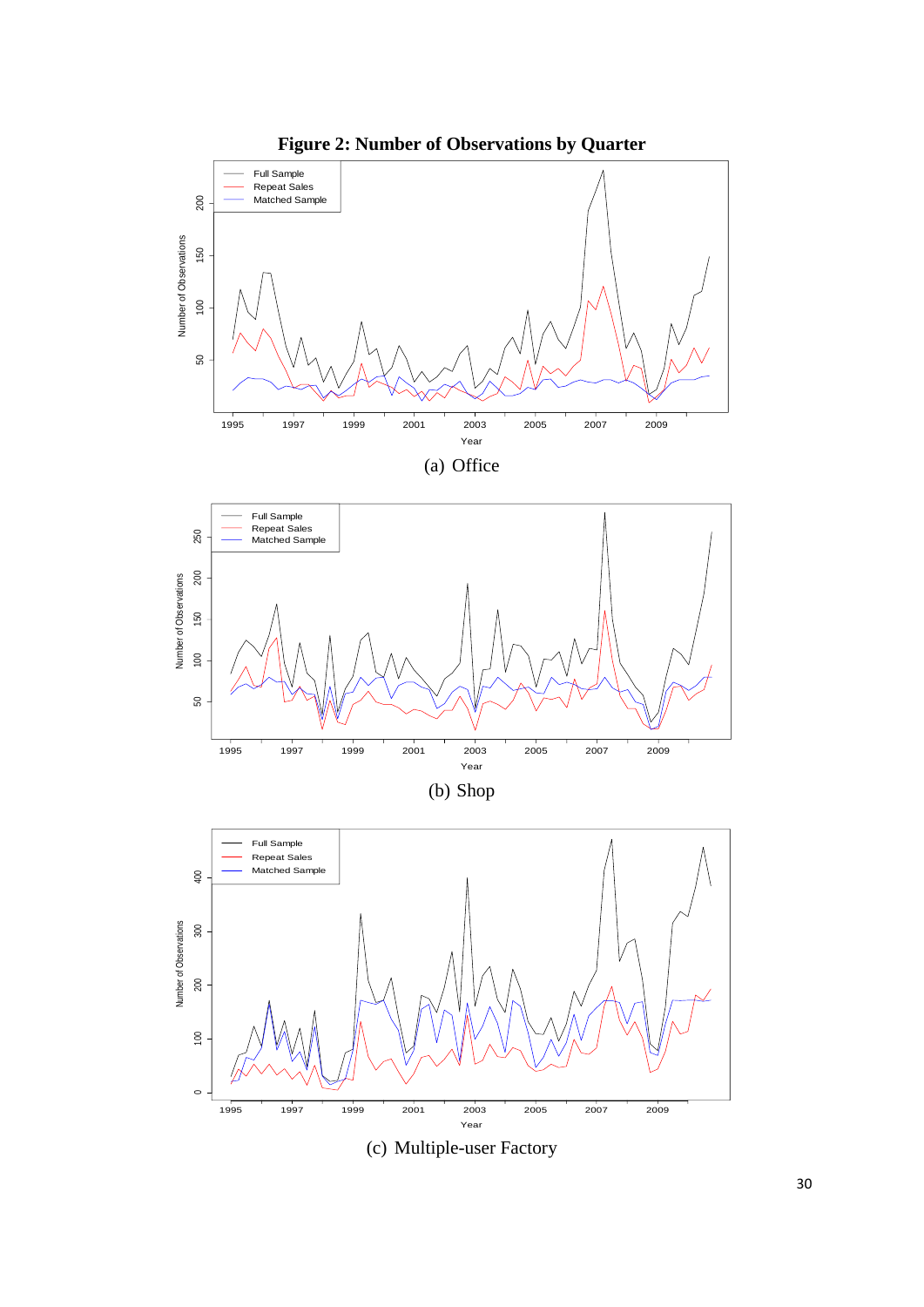

(c) Multiple-user Factory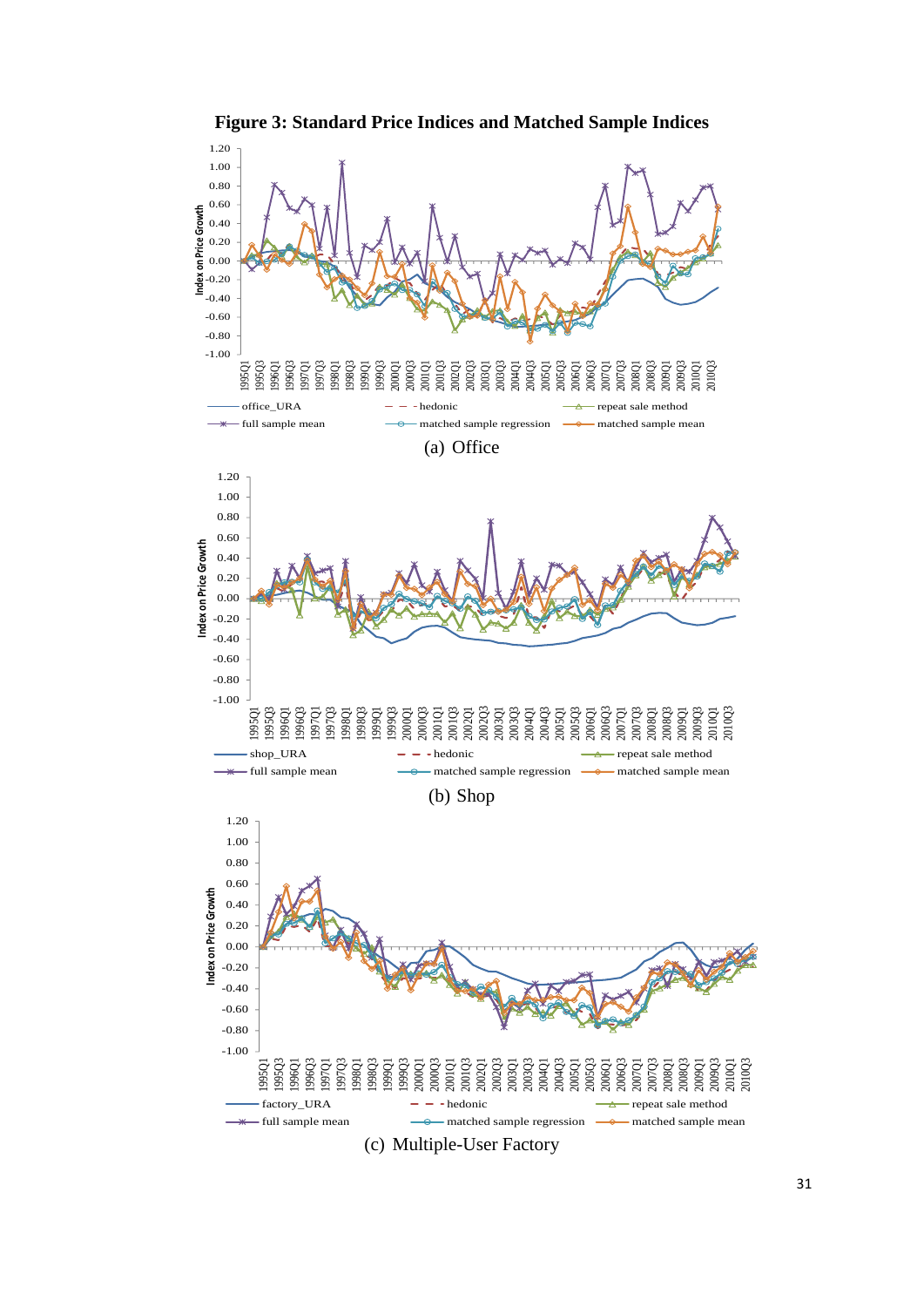

**Figure 3: Standard Price Indices and Matched Sample Indices**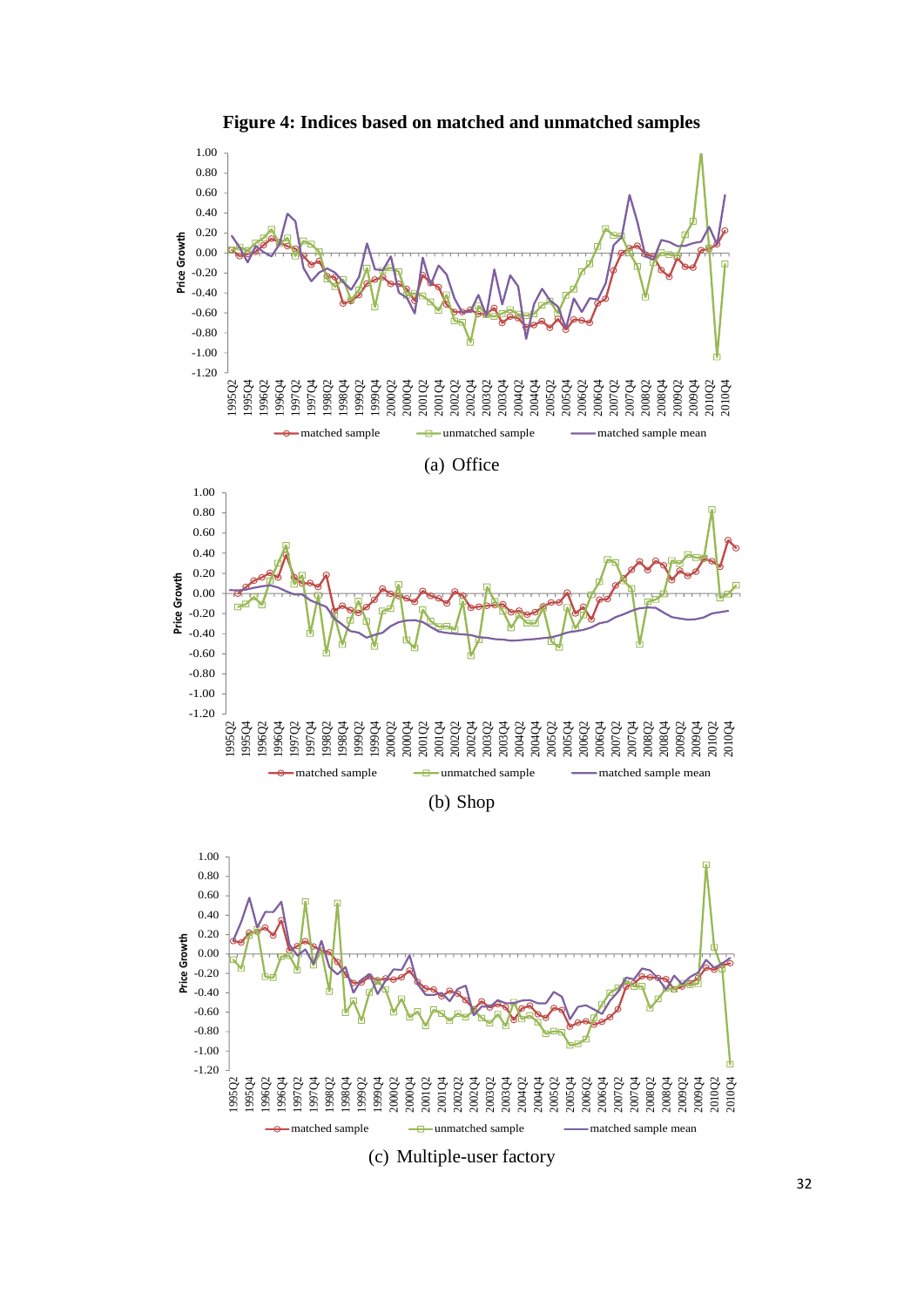

(c) Multiple-user factory

**Figure 4: Indices based on matched and unmatched samples**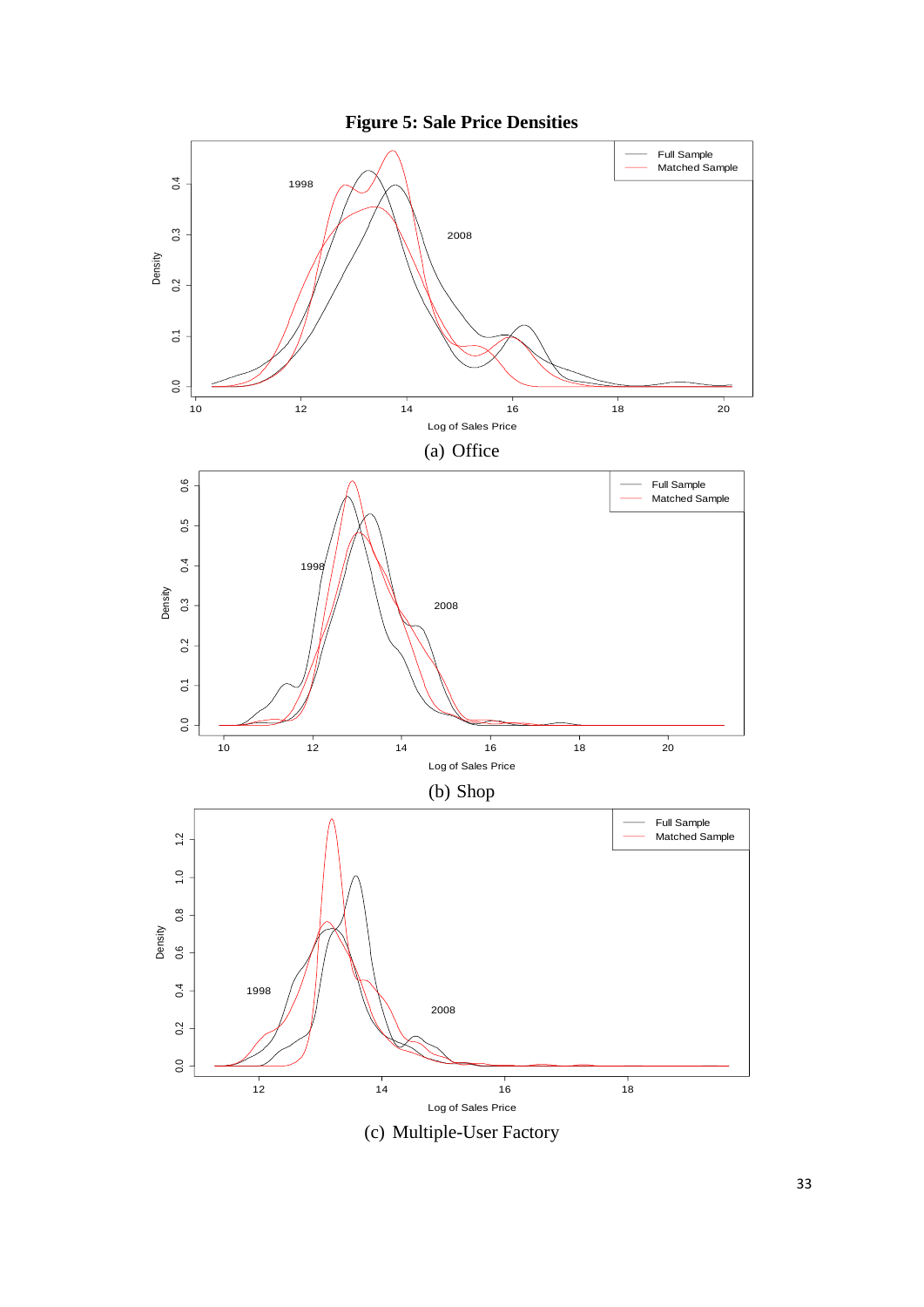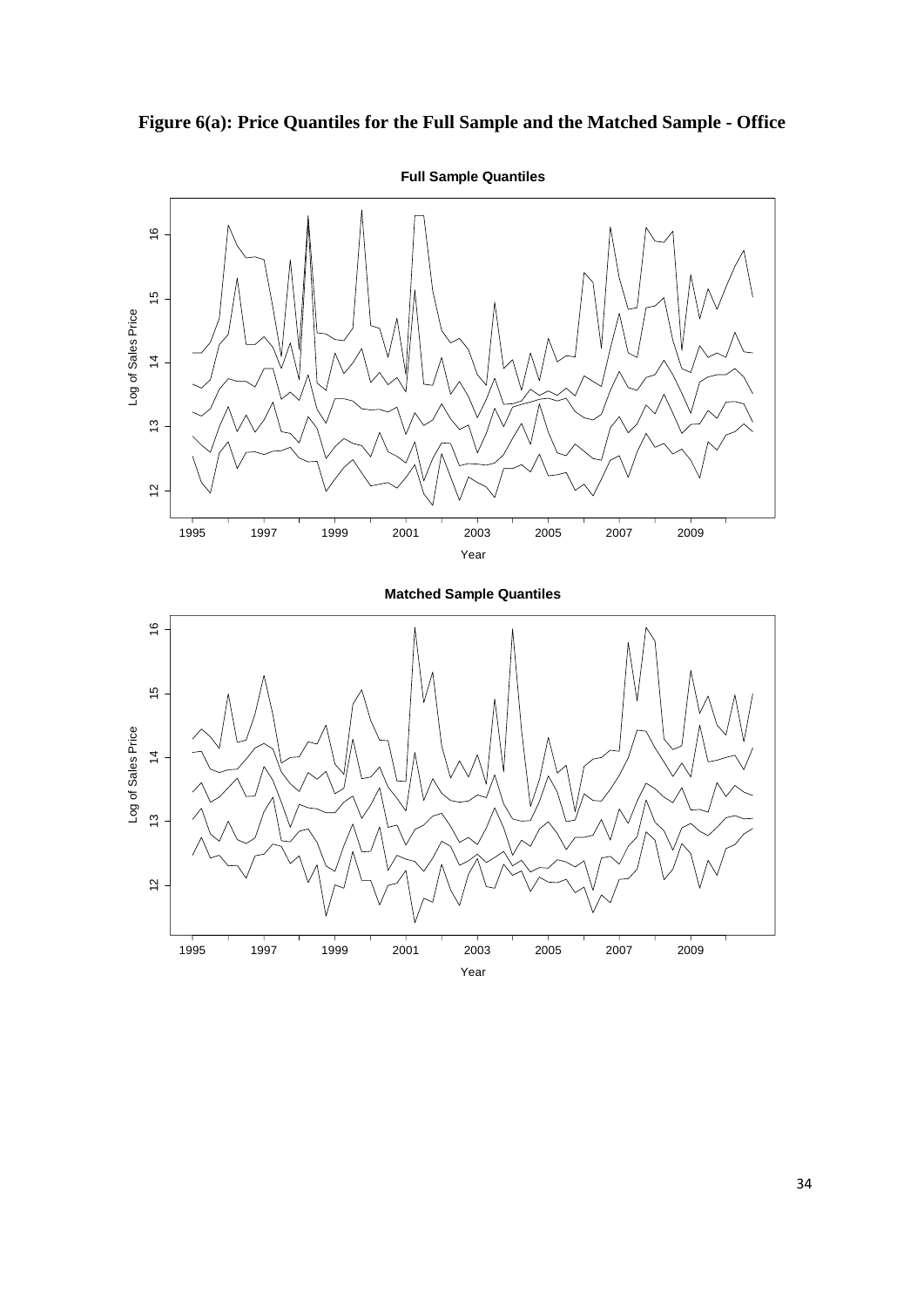



**Full Sample Quantiles**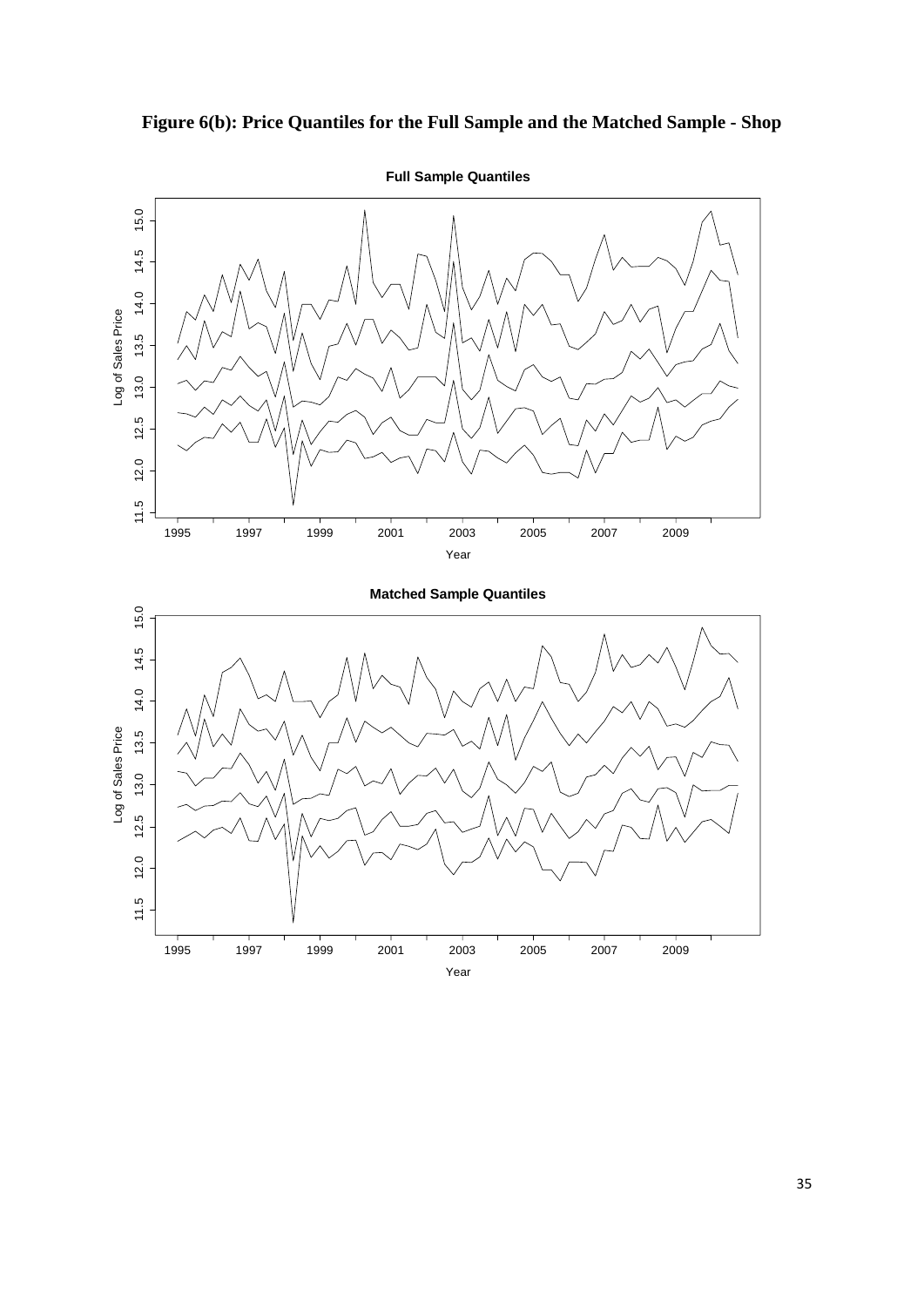

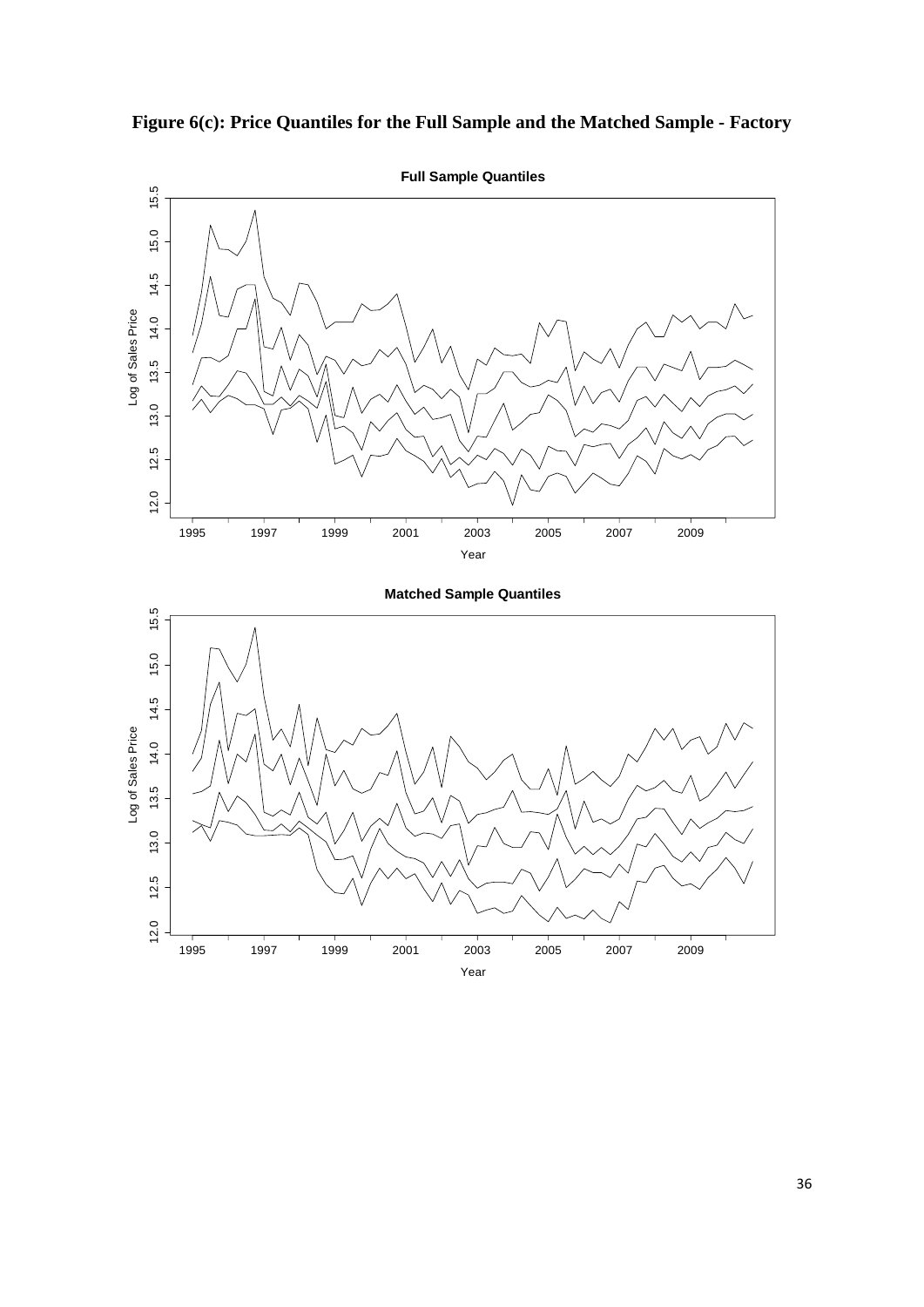

**Figure 6(c): Price Quantiles for the Full Sample and the Matched Sample - Factory**